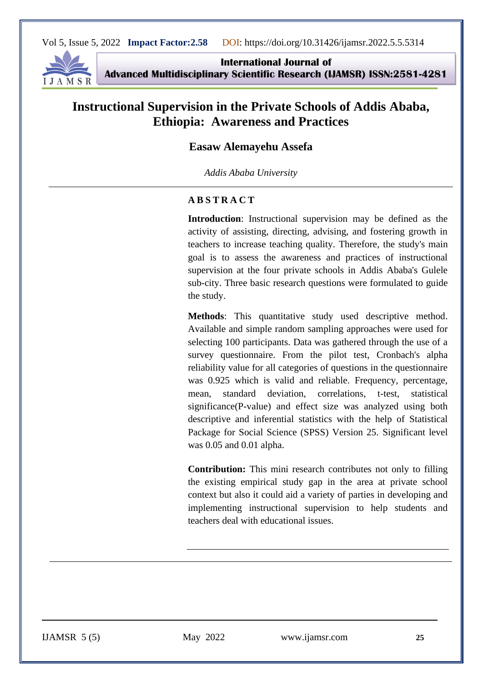

**International Journal of Advanced Multidisciplinary Scientific Research (IJAMSR) ISSN:2581-4281**

# **Instructional Supervision in the Private Schools of Addis Ababa, Ethiopia: Awareness and Practices**

#### **Easaw Alemayehu Assefa**

*Addis Ababa University*

#### **A B S T R A C T**

**Introduction**: Instructional supervision may be defined as the activity of assisting, directing, advising, and fostering growth in teachers to increase teaching quality. Therefore, the study's main goal is to assess the awareness and practices of instructional supervision at the four private schools in Addis Ababa's Gulele sub-city. Three basic research questions were formulated to guide the study.

**Methods**: This quantitative study used descriptive method. Available and simple random sampling approaches were used for selecting 100 participants. Data was gathered through the use of a survey questionnaire. From the pilot test, Cronbach's alpha reliability value for all categories of questions in the questionnaire was 0.925 which is valid and reliable. Frequency, percentage, mean, standard deviation, correlations, t-test, statistical significance(P-value) and effect size was analyzed using both descriptive and inferential statistics with the help of Statistical Package for Social Science (SPSS) Version 25. Significant level was 0.05 and 0.01 alpha.

**Contribution:** This mini research contributes not only to filling the existing empirical study gap in the area at private school context but also it could aid a variety of parties in developing and implementing instructional supervision to help students and teachers deal with educational issues.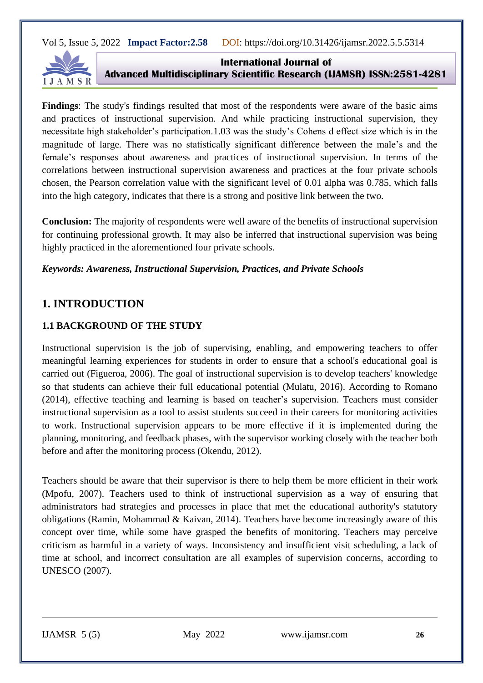

**International Journal of Advanced Multidisciplinary Scientific Research (IJAMSR) ISSN:2581-4281**

**Findings**: The study's findings resulted that most of the respondents were aware of the basic aims and practices of instructional supervision. And while practicing instructional supervision, they necessitate high stakeholder's participation.1.03 was the study's Cohens d effect size which is in the magnitude of large. There was no statistically significant difference between the male's and the female's responses about awareness and practices of instructional supervision. In terms of the correlations between instructional supervision awareness and practices at the four private schools chosen, the Pearson correlation value with the significant level of 0.01 alpha was 0.785, which falls into the high category, indicates that there is a strong and positive link between the two.

**Conclusion:** The majority of respondents were well aware of the benefits of instructional supervision for continuing professional growth. It may also be inferred that instructional supervision was being highly practiced in the aforementioned four private schools.

#### *Keywords: Awareness, Instructional Supervision, Practices, and Private Schools*

# **1. INTRODUCTION**

# **1.1 BACKGROUND OF THE STUDY**

Instructional supervision is the job of supervising, enabling, and empowering teachers to offer meaningful learning experiences for students in order to ensure that a school's educational goal is carried out (Figueroa, 2006). The goal of instructional supervision is to develop teachers' knowledge so that students can achieve their full educational potential (Mulatu, 2016). According to Romano (2014), effective teaching and learning is based on teacher's supervision. Teachers must consider instructional supervision as a tool to assist students succeed in their careers for monitoring activities to work. Instructional supervision appears to be more effective if it is implemented during the planning, monitoring, and feedback phases, with the supervisor working closely with the teacher both before and after the monitoring process (Okendu, 2012).

Teachers should be aware that their supervisor is there to help them be more efficient in their work (Mpofu, 2007). Teachers used to think of instructional supervision as a way of ensuring that administrators had strategies and processes in place that met the educational authority's statutory obligations (Ramin, Mohammad & Kaivan, 2014). Teachers have become increasingly aware of this concept over time, while some have grasped the benefits of monitoring. Teachers may perceive criticism as harmful in a variety of ways. Inconsistency and insufficient visit scheduling, a lack of time at school, and incorrect consultation are all examples of supervision concerns, according to UNESCO (2007).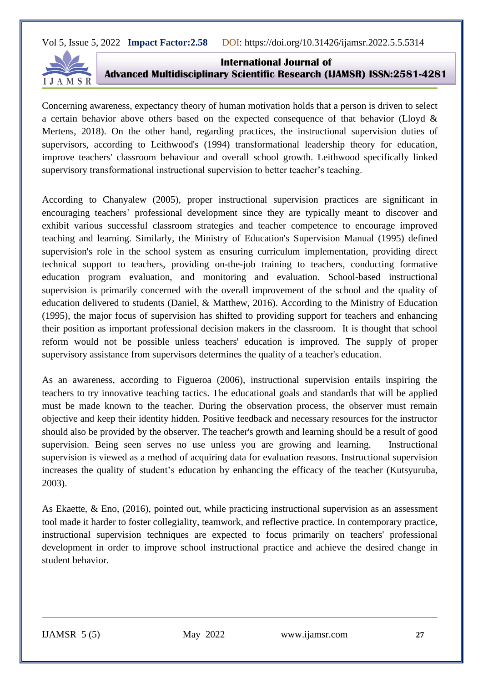

**International Journal of Advanced Multidisciplinary Scientific Research (IJAMSR) ISSN:2581-4281**

Concerning awareness, expectancy theory of human motivation holds that a person is driven to select a certain behavior above others based on the expected consequence of that behavior (Lloyd & Mertens, 2018). On the other hand, regarding practices, the instructional supervision duties of supervisors, according to Leithwood's (1994) transformational leadership theory for education, improve teachers' classroom behaviour and overall school growth. Leithwood specifically linked supervisory transformational instructional supervision to better teacher's teaching.

According to Chanyalew (2005), proper instructional supervision practices are significant in encouraging teachers' professional development since they are typically meant to discover and exhibit various successful classroom strategies and teacher competence to encourage improved teaching and learning. Similarly, the Ministry of Education's Supervision Manual (1995) defined supervision's role in the school system as ensuring curriculum implementation, providing direct technical support to teachers, providing on-the-job training to teachers, conducting formative education program evaluation, and monitoring and evaluation. School-based instructional supervision is primarily concerned with the overall improvement of the school and the quality of education delivered to students (Daniel, & Matthew, 2016). According to the Ministry of Education (1995), the major focus of supervision has shifted to providing support for teachers and enhancing their position as important professional decision makers in the classroom. It is thought that school reform would not be possible unless teachers' education is improved. The supply of proper supervisory assistance from supervisors determines the quality of a teacher's education.

As an awareness, according to Figueroa (2006), instructional supervision entails inspiring the teachers to try innovative teaching tactics. The educational goals and standards that will be applied must be made known to the teacher. During the observation process, the observer must remain objective and keep their identity hidden. Positive feedback and necessary resources for the instructor should also be provided by the observer. The teacher's growth and learning should be a result of good supervision. Being seen serves no use unless you are growing and learning. Instructional supervision is viewed as a method of acquiring data for evaluation reasons. Instructional supervision increases the quality of student's education by enhancing the efficacy of the teacher (Kutsyuruba, 2003).

As Ekaette, & Eno, (2016), pointed out, while practicing instructional supervision as an assessment tool made it harder to foster collegiality, teamwork, and reflective practice. In contemporary practice, instructional supervision techniques are expected to focus primarily on teachers' professional development in order to improve school instructional practice and achieve the desired change in student behavior.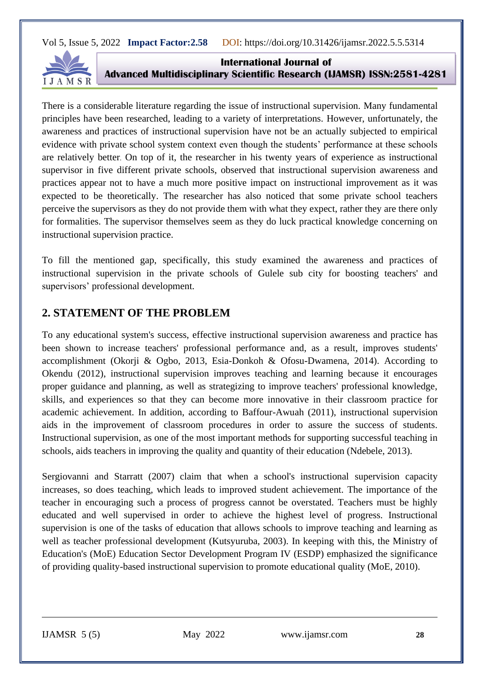

**International Journal of Advanced Multidisciplinary Scientific Research (IJAMSR) ISSN:2581-4281**

There is a considerable literature regarding the issue of instructional supervision. Many fundamental principles have been researched, leading to a variety of interpretations. However, unfortunately, the awareness and practices of instructional supervision have not be an actually subjected to empirical evidence with private school system context even though the students' performance at these schools are relatively better. On top of it, the researcher in his twenty years of experience as instructional supervisor in five different private schools, observed that instructional supervision awareness and practices appear not to have a much more positive impact on instructional improvement as it was expected to be theoretically. The researcher has also noticed that some private school teachers perceive the supervisors as they do not provide them with what they expect, rather they are there only for formalities. The supervisor themselves seem as they do luck practical knowledge concerning on instructional supervision practice.

To fill the mentioned gap, specifically, this study examined the awareness and practices of instructional supervision in the private schools of Gulele sub city for boosting teachers' and supervisors' professional development.

# **2. STATEMENT OF THE PROBLEM**

To any educational system's success, effective instructional supervision awareness and practice has been shown to increase teachers' professional performance and, as a result, improves students' accomplishment (Okorji & Ogbo, 2013, Esia-Donkoh & Ofosu-Dwamena, 2014). According to Okendu (2012), instructional supervision improves teaching and learning because it encourages proper guidance and planning, as well as strategizing to improve teachers' professional knowledge, skills, and experiences so that they can become more innovative in their classroom practice for academic achievement. In addition, according to Baffour-Awuah (2011), instructional supervision aids in the improvement of classroom procedures in order to assure the success of students. Instructional supervision, as one of the most important methods for supporting successful teaching in schools, aids teachers in improving the quality and quantity of their education (Ndebele, 2013).

Sergiovanni and Starratt (2007) claim that when a school's instructional supervision capacity increases, so does teaching, which leads to improved student achievement. The importance of the teacher in encouraging such a process of progress cannot be overstated. Teachers must be highly educated and well supervised in order to achieve the highest level of progress. Instructional supervision is one of the tasks of education that allows schools to improve teaching and learning as well as teacher professional development (Kutsyuruba, 2003). In keeping with this, the Ministry of Education's (MoE) Education Sector Development Program IV (ESDP) emphasized the significance of providing quality-based instructional supervision to promote educational quality (MoE, 2010).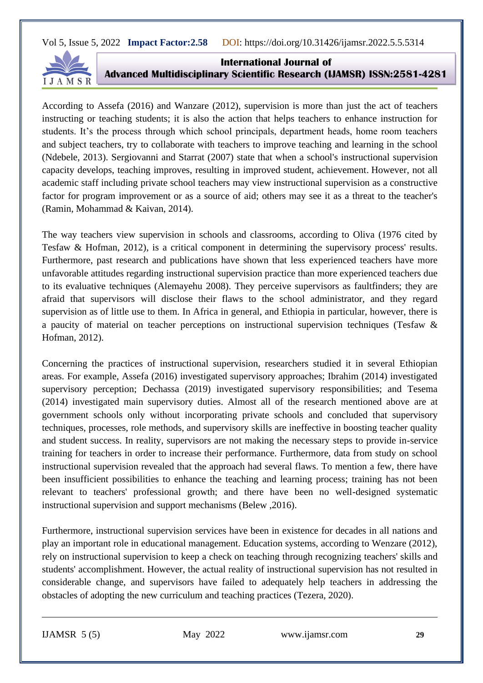

**International Journal of Advanced Multidisciplinary Scientific Research (IJAMSR) ISSN:2581-4281**

According to Assefa (2016) and Wanzare (2012), supervision is more than just the act of teachers instructing or teaching students; it is also the action that helps teachers to enhance instruction for students. It's the process through which school principals, department heads, home room teachers and subject teachers, try to collaborate with teachers to improve teaching and learning in the school (Ndebele, 2013). Sergiovanni and Starrat (2007) state that when a school's instructional supervision capacity develops, teaching improves, resulting in improved student, achievement. However, not all academic staff including private school teachers may view instructional supervision as a constructive factor for program improvement or as a source of aid; others may see it as a threat to the teacher's (Ramin, Mohammad & Kaivan, 2014).

The way teachers view supervision in schools and classrooms, according to Oliva (1976 cited by Tesfaw & Hofman, 2012), is a critical component in determining the supervisory process' results. Furthermore, past research and publications have shown that less experienced teachers have more unfavorable attitudes regarding instructional supervision practice than more experienced teachers due to its evaluative techniques (Alemayehu 2008). They perceive supervisors as faultfinders; they are afraid that supervisors will disclose their flaws to the school administrator, and they regard supervision as of little use to them. In Africa in general, and Ethiopia in particular, however, there is a paucity of material on teacher perceptions on instructional supervision techniques (Tesfaw & Hofman, 2012).

Concerning the practices of instructional supervision, researchers studied it in several Ethiopian areas. For example, Assefa (2016) investigated supervisory approaches; Ibrahim (2014) investigated supervisory perception; Dechassa (2019) investigated supervisory responsibilities; and Tesema (2014) investigated main supervisory duties. Almost all of the research mentioned above are at government schools only without incorporating private schools and concluded that supervisory techniques, processes, role methods, and supervisory skills are ineffective in boosting teacher quality and student success. In reality, supervisors are not making the necessary steps to provide in-service training for teachers in order to increase their performance. Furthermore, data from study on school instructional supervision revealed that the approach had several flaws. To mention a few, there have been insufficient possibilities to enhance the teaching and learning process; training has not been relevant to teachers' professional growth; and there have been no well-designed systematic instructional supervision and support mechanisms (Belew ,2016).

Furthermore, instructional supervision services have been in existence for decades in all nations and play an important role in educational management. Education systems, according to Wenzare (2012), rely on instructional supervision to keep a check on teaching through recognizing teachers' skills and students' accomplishment. However, the actual reality of instructional supervision has not resulted in considerable change, and supervisors have failed to adequately help teachers in addressing the obstacles of adopting the new curriculum and teaching practices (Tezera, 2020).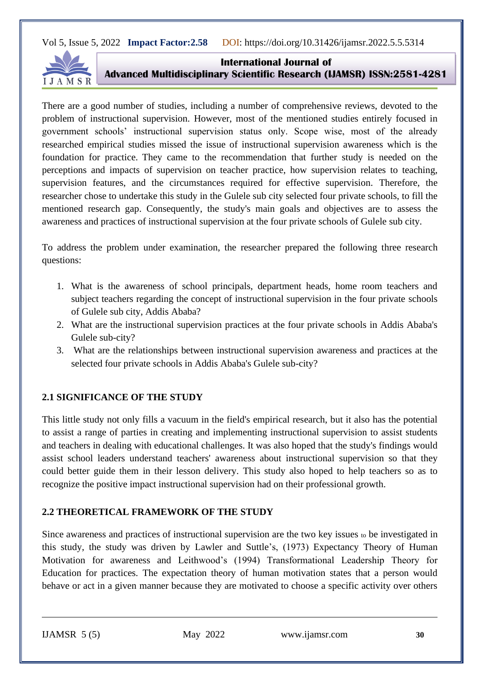

**International Journal of Advanced Multidisciplinary Scientific Research (IJAMSR) ISSN:2581-4281**

There are a good number of studies, including a number of comprehensive reviews, devoted to the problem of instructional supervision. However, most of the mentioned studies entirely focused in government schools' instructional supervision status only. Scope wise, most of the already researched empirical studies missed the issue of instructional supervision awareness which is the foundation for practice. They came to the recommendation that further study is needed on the perceptions and impacts of supervision on teacher practice, how supervision relates to teaching, supervision features, and the circumstances required for effective supervision. Therefore, the researcher chose to undertake this study in the Gulele sub city selected four private schools, to fill the mentioned research gap. Consequently, the study's main goals and objectives are to assess the awareness and practices of instructional supervision at the four private schools of Gulele sub city.

To address the problem under examination, the researcher prepared the following three research questions:

- 1. What is the awareness of school principals, department heads, home room teachers and subject teachers regarding the concept of instructional supervision in the four private schools of Gulele sub city, Addis Ababa?
- 2. What are the instructional supervision practices at the four private schools in Addis Ababa's Gulele sub-city?
- 3. What are the relationships between instructional supervision awareness and practices at the selected four private schools in Addis Ababa's Gulele sub-city?

# **2.1 SIGNIFICANCE OF THE STUDY**

This little study not only fills a vacuum in the field's empirical research, but it also has the potential to assist a range of parties in creating and implementing instructional supervision to assist students and teachers in dealing with educational challenges. It was also hoped that the study's findings would assist school leaders understand teachers' awareness about instructional supervision so that they could better guide them in their lesson delivery. This study also hoped to help teachers so as to recognize the positive impact instructional supervision had on their professional growth.

# **2.2 THEORETICAL FRAMEWORK OF THE STUDY**

Since awareness and practices of instructional supervision are the two key issues  $\omega$  be investigated in this study, the study was driven by Lawler and Suttle's, (1973) Expectancy Theory of Human Motivation for awareness and Leithwood's (1994) Transformational Leadership Theory for Education for practices. The expectation theory of human motivation states that a person would behave or act in a given manner because they are motivated to choose a specific activity over others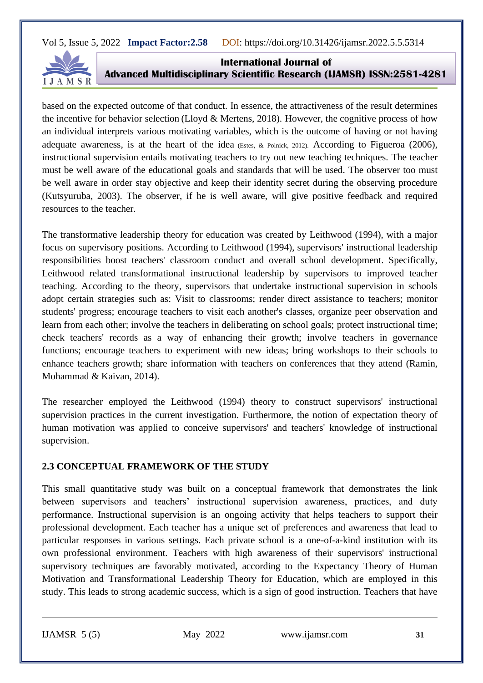

**International Journal of Advanced Multidisciplinary Scientific Research (IJAMSR) ISSN:2581-4281**

based on the expected outcome of that conduct. In essence, the attractiveness of the result determines the incentive for behavior selection (Lloyd & Mertens, 2018). However, the cognitive process of how an individual interprets various motivating variables, which is the outcome of having or not having adequate awareness, is at the heart of the idea (Estes, & Polnick, 2012). According to Figueroa (2006), instructional supervision entails motivating teachers to try out new teaching techniques. The teacher must be well aware of the educational goals and standards that will be used. The observer too must be well aware in order stay objective and keep their identity secret during the observing procedure (Kutsyuruba, 2003). The observer, if he is well aware, will give positive feedback and required resources to the teacher.

The transformative leadership theory for education was created by Leithwood (1994), with a major focus on supervisory positions. According to Leithwood (1994), supervisors' instructional leadership responsibilities boost teachers' classroom conduct and overall school development. Specifically, Leithwood related transformational instructional leadership by supervisors to improved teacher teaching. According to the theory, supervisors that undertake instructional supervision in schools adopt certain strategies such as: Visit to classrooms; render direct assistance to teachers; monitor students' progress; encourage teachers to visit each another's classes, organize peer observation and learn from each other; involve the teachers in deliberating on school goals; protect instructional time; check teachers' records as a way of enhancing their growth; involve teachers in governance functions; encourage teachers to experiment with new ideas; bring workshops to their schools to enhance teachers growth; share information with teachers on conferences that they attend (Ramin, Mohammad & Kaivan, 2014).

The researcher employed the Leithwood (1994) theory to construct supervisors' instructional supervision practices in the current investigation. Furthermore, the notion of expectation theory of human motivation was applied to conceive supervisors' and teachers' knowledge of instructional supervision.

# **2.3 CONCEPTUAL FRAMEWORK OF THE STUDY**

This small quantitative study was built on a conceptual framework that demonstrates the link between supervisors and teachers' instructional supervision awareness, practices, and duty performance. Instructional supervision is an ongoing activity that helps teachers to support their professional development. Each teacher has a unique set of preferences and awareness that lead to particular responses in various settings. Each private school is a one-of-a-kind institution with its own professional environment. Teachers with high awareness of their supervisors' instructional supervisory techniques are favorably motivated, according to the Expectancy Theory of Human Motivation and Transformational Leadership Theory for Education, which are employed in this study. This leads to strong academic success, which is a sign of good instruction. Teachers that have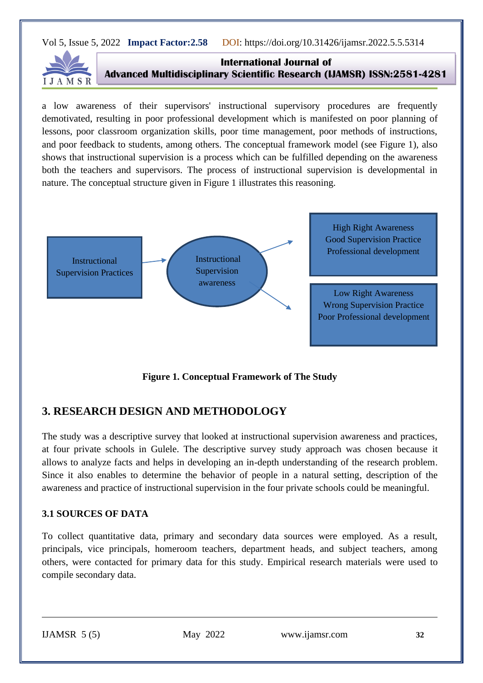

**International Journal of Advanced Multidisciplinary Scientific Research (IJAMSR) ISSN:2581-4281**

a low awareness of their supervisors' instructional supervisory procedures are frequently demotivated, resulting in poor professional development which is manifested on poor planning of lessons, poor classroom organization skills, poor time management, poor methods of instructions, and poor feedback to students, among others. The conceptual framework model (see Figure 1), also shows that instructional supervision is a process which can be fulfilled depending on the awareness both the teachers and supervisors. The process of instructional supervision is developmental in nature. The conceptual structure given in Figure 1 illustrates this reasoning.



**Figure 1. Conceptual Framework of The Study**

# **3. RESEARCH DESIGN AND METHODOLOGY**

The study was a descriptive survey that looked at instructional supervision awareness and practices, at four private schools in Gulele. The descriptive survey study approach was chosen because it allows to analyze facts and helps in developing an in-depth understanding of the research problem. Since it also enables to determine the behavior of people in a natural setting, description of the awareness and practice of instructional supervision in the four private schools could be meaningful.

# **3.1 SOURCES OF DATA**

To collect quantitative data, primary and secondary data sources were employed. As a result, principals, vice principals, homeroom teachers, department heads, and subject teachers, among others, were contacted for primary data for this study. Empirical research materials were used to compile secondary data.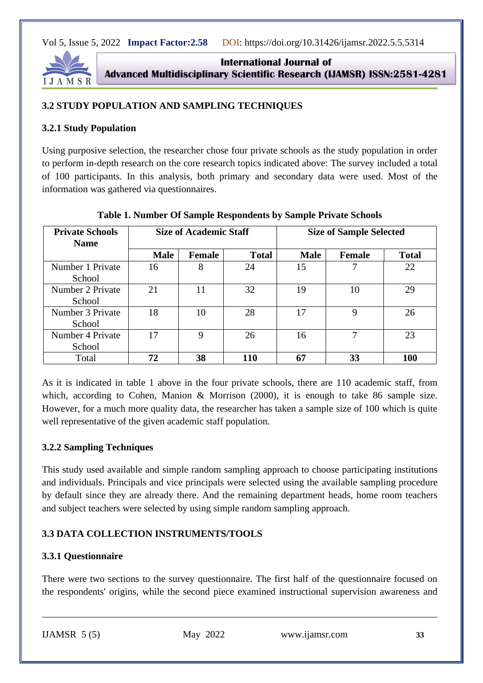

**International Journal of Advanced Multidisciplinary Scientific Research (IJAMSR) ISSN:2581-4281**

#### **3.2 STUDY POPULATION AND SAMPLING TECHNIQUES**

#### **3.2.1 Study Population**

Using purposive selection, the researcher chose four private schools as the study population in order to perform in-depth research on the core research topics indicated above: The survey included a total of 100 participants. In this analysis, both primary and secondary data were used. Most of the information was gathered via questionnaires.

| <b>Private Schools</b><br><b>Name</b> | <b>Size of Academic Staff</b> |               |              | <b>Size of Sample Selected</b> |               |              |  |
|---------------------------------------|-------------------------------|---------------|--------------|--------------------------------|---------------|--------------|--|
|                                       | <b>Male</b>                   | <b>Female</b> | <b>Total</b> | <b>Male</b>                    | <b>Female</b> | <b>Total</b> |  |
| Number 1 Private<br>School            | 16                            | 8             | 24           | 15                             | 7             | 22           |  |
| Number 2 Private<br>School            | 21                            | 11            | 32           | 19                             | 10            | 29           |  |
| Number 3 Private<br>School            | 18                            | 10            | 28           | 17                             | $\mathbf Q$   | 26           |  |
| Number 4 Private<br>School            | 17                            | 9             | 26           | 16                             | 7             | 23           |  |
| Total                                 | 72                            | 38            | <b>110</b>   | 67                             | 33            | <b>100</b>   |  |

**Table 1. Number Of Sample Respondents by Sample Private Schools**

As it is indicated in table 1 above in the four private schools, there are 110 academic staff, from which, according to Cohen, Manion & Morrison (2000), it is enough to take 86 sample size. However, for a much more quality data, the researcher has taken a sample size of 100 which is quite well representative of the given academic staff population.

#### **3.2.2 Sampling Techniques**

This study used available and simple random sampling approach to choose participating institutions and individuals. Principals and vice principals were selected using the available sampling procedure by default since they are already there. And the remaining department heads, home room teachers and subject teachers were selected by using simple random sampling approach.

# **3.3 DATA COLLECTION INSTRUMENTS/TOOLS**

# **3.3.1 Questionnaire**

There were two sections to the survey questionnaire. The first half of the questionnaire focused on the respondents' origins, while the second piece examined instructional supervision awareness and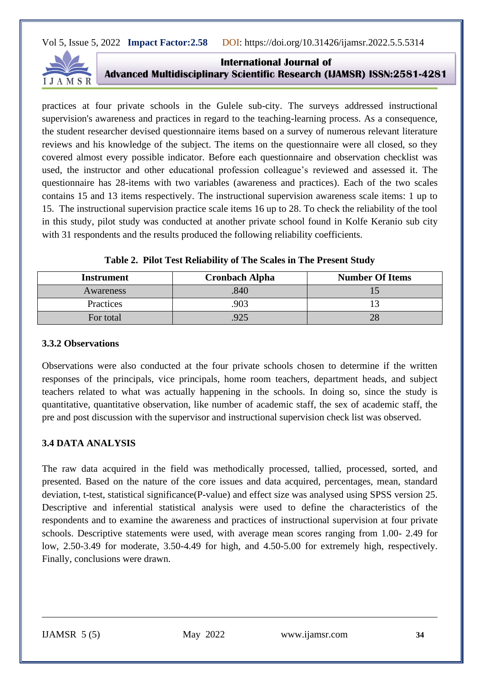

**International Journal of Advanced Multidisciplinary Scientific Research (IJAMSR) ISSN:2581-4281**

practices at four private schools in the Gulele sub-city. The surveys addressed instructional supervision's awareness and practices in regard to the teaching-learning process. As a consequence, the student researcher devised questionnaire items based on a survey of numerous relevant literature reviews and his knowledge of the subject. The items on the questionnaire were all closed, so they covered almost every possible indicator. Before each questionnaire and observation checklist was used, the instructor and other educational profession colleague's reviewed and assessed it. The questionnaire has 28-items with two variables (awareness and practices). Each of the two scales contains 15 and 13 items respectively. The instructional supervision awareness scale items: 1 up to 15. The instructional supervision practice scale items 16 up to 28. To check the reliability of the tool in this study, pilot study was conducted at another private school found in Kolfe Keranio sub city with 31 respondents and the results produced the following reliability coefficients.

| <b>Instrument</b> | <b>Cronbach Alpha</b> | <b>Number Of Items</b> |
|-------------------|-----------------------|------------------------|
| Awareness         | 840                   |                        |
| Practices         | 903                   |                        |
| For total         |                       | 28                     |

|  |  |  | Table 2. Pilot Test Reliability of The Scales in The Present Study |
|--|--|--|--------------------------------------------------------------------|
|  |  |  |                                                                    |

#### **3.3.2 Observations**

Observations were also conducted at the four private schools chosen to determine if the written responses of the principals, vice principals, home room teachers, department heads, and subject teachers related to what was actually happening in the schools. In doing so, since the study is quantitative, quantitative observation, like number of academic staff, the sex of academic staff, the pre and post discussion with the supervisor and instructional supervision check list was observed.

# **3.4 DATA ANALYSIS**

The raw data acquired in the field was methodically processed, tallied, processed, sorted, and presented. Based on the nature of the core issues and data acquired, percentages, mean, standard deviation, t-test, statistical significance(P-value) and effect size was analysed using SPSS version 25. Descriptive and inferential statistical analysis were used to define the characteristics of the respondents and to examine the awareness and practices of instructional supervision at four private schools. Descriptive statements were used, with average mean scores ranging from 1.00- 2.49 for low, 2.50-3.49 for moderate, 3.50-4.49 for high, and 4.50-5.00 for extremely high, respectively. Finally, conclusions were drawn.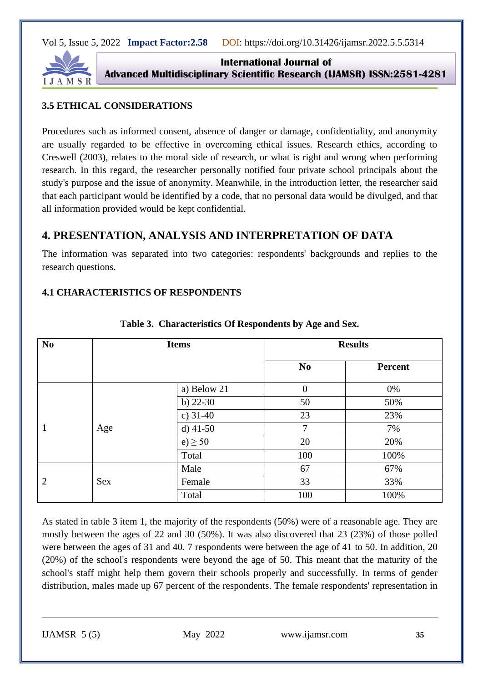

**International Journal of Advanced Multidisciplinary Scientific Research (IJAMSR) ISSN:2581-4281**

# **3.5 ETHICAL CONSIDERATIONS**

Procedures such as informed consent, absence of danger or damage, confidentiality, and anonymity are usually regarded to be effective in overcoming ethical issues. Research ethics, according to Creswell (2003), relates to the moral side of research, or what is right and wrong when performing research. In this regard, the researcher personally notified four private school principals about the study's purpose and the issue of anonymity. Meanwhile, in the introduction letter, the researcher said that each participant would be identified by a code, that no personal data would be divulged, and that all information provided would be kept confidential.

# **4. PRESENTATION, ANALYSIS AND INTERPRETATION OF DATA**

The information was separated into two categories: respondents' backgrounds and replies to the research questions.

#### **4.1 CHARACTERISTICS OF RESPONDENTS**

| N <sub>0</sub> |     | <b>Items</b> |                | <b>Results</b> |
|----------------|-----|--------------|----------------|----------------|
|                |     |              | N <sub>0</sub> | <b>Percent</b> |
|                |     | a) Below 21  | $\overline{0}$ | 0%             |
| $\mathbf{1}$   |     | b) $22-30$   | 50             | 50%            |
|                |     | c) $31-40$   | 23             | 23%            |
|                | Age | d) $41-50$   | 7              | 7%             |
|                |     | $e) \geq 50$ | 20             | 20%            |
|                |     | Total        | 100            | 100%           |
|                |     | Male         | 67             | 67%            |
| 2              | Sex | Female       | 33             | 33%            |
|                |     | Total        | 100            | 100%           |

#### **Table 3. Characteristics Of Respondents by Age and Sex.**

As stated in table 3 item 1, the majority of the respondents (50%) were of a reasonable age. They are mostly between the ages of 22 and 30 (50%). It was also discovered that 23 (23%) of those polled were between the ages of 31 and 40. 7 respondents were between the age of 41 to 50. In addition, 20 (20%) of the school's respondents were beyond the age of 50. This meant that the maturity of the school's staff might help them govern their schools properly and successfully. In terms of gender distribution, males made up 67 percent of the respondents. The female respondents' representation in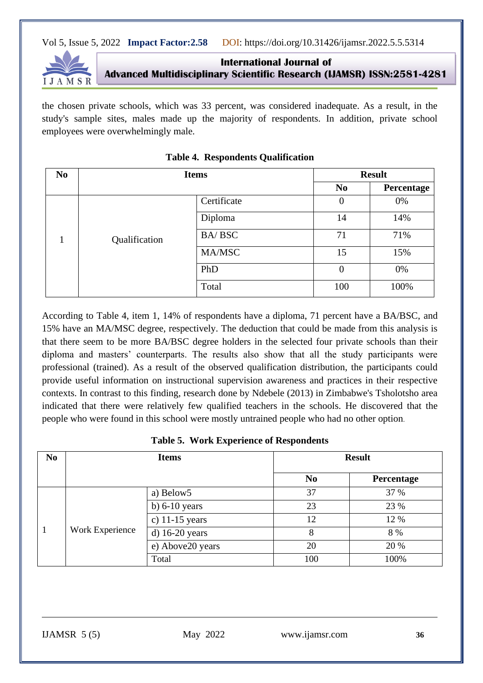

**International Journal of Advanced Multidisciplinary Scientific Research (IJAMSR) ISSN:2581-4281**

the chosen private schools, which was 33 percent, was considered inadequate. As a result, in the study's sample sites, males made up the majority of respondents. In addition, private school employees were overwhelmingly male.

| N <sub>0</sub> | <b>Items</b>  |               | <b>Result</b>    |            |  |
|----------------|---------------|---------------|------------------|------------|--|
|                |               |               | N <sub>0</sub>   | Percentage |  |
|                |               | Certificate   | $\boldsymbol{0}$ | 0%         |  |
|                | Qualification | Diploma       | 14               | 14%        |  |
|                |               | <b>BA/BSC</b> | 71               | 71%        |  |
|                |               | MA/MSC        | 15               | 15%        |  |
|                |               | PhD           | $\overline{0}$   | 0%         |  |
|                |               | Total         | 100              | 100%       |  |

| <b>Table 4. Respondents Qualification</b> |  |
|-------------------------------------------|--|
|                                           |  |

According to Table 4, item 1, 14% of respondents have a diploma, 71 percent have a BA/BSC, and 15% have an MA/MSC degree, respectively. The deduction that could be made from this analysis is that there seem to be more BA/BSC degree holders in the selected four private schools than their diploma and masters' counterparts. The results also show that all the study participants were professional (trained). As a result of the observed qualification distribution, the participants could provide useful information on instructional supervision awareness and practices in their respective contexts. In contrast to this finding, research done by Ndebele (2013) in Zimbabwe's Tsholotsho area indicated that there were relatively few qualified teachers in the schools. He discovered that the people who were found in this school were mostly untrained people who had no other option.

| N <sub>0</sub> | <b>Items</b>    |                  | <b>Result</b>  |            |  |
|----------------|-----------------|------------------|----------------|------------|--|
|                |                 |                  | N <sub>0</sub> | Percentage |  |
|                |                 | a) Below5        | 37             | 37 %       |  |
|                | Work Experience | b) $6-10$ years  | 23             | 23 %       |  |
|                |                 | c) $11-15$ years | 12             | 12 %       |  |
|                |                 | $d)$ 16-20 years | 8              | 8 %        |  |
|                |                 | e) Above20 years | 20             | 20 %       |  |
|                |                 | Total            | 100            | 100%       |  |

**Table 5. Work Experience of Respondents**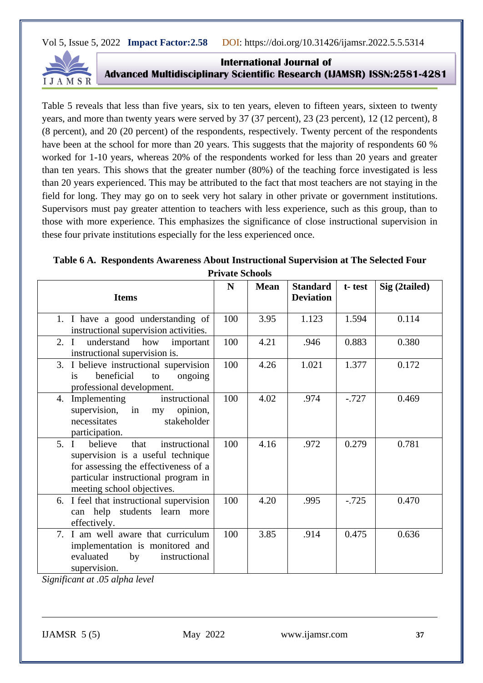

**International Journal of Advanced Multidisciplinary Scientific Research (IJAMSR) ISSN:2581-4281**

Table 5 reveals that less than five years, six to ten years, eleven to fifteen years, sixteen to twenty years, and more than twenty years were served by 37 (37 percent), 23 (23 percent), 12 (12 percent), 8 (8 percent), and 20 (20 percent) of the respondents, respectively. Twenty percent of the respondents have been at the school for more than 20 years. This suggests that the majority of respondents 60 % worked for 1-10 years, whereas 20% of the respondents worked for less than 20 years and greater than ten years. This shows that the greater number (80%) of the teaching force investigated is less than 20 years experienced. This may be attributed to the fact that most teachers are not staying in the field for long. They may go on to seek very hot salary in other private or government institutions. Supervisors must pay greater attention to teachers with less experience, such as this group, than to those with more experience. This emphasizes the significance of close instructional supervision in these four private institutions especially for the less experienced once.

| Table 6 A. Respondents Awareness About Instructional Supervision at The Selected Four |
|---------------------------------------------------------------------------------------|
| <b>Private Schools</b>                                                                |

| <b>Items</b>                                                                                                                                                                               | N   | <b>Mean</b> | <b>Standard</b><br><b>Deviation</b> | t-test   | Sig (2tailed) |
|--------------------------------------------------------------------------------------------------------------------------------------------------------------------------------------------|-----|-------------|-------------------------------------|----------|---------------|
| 1. I have a good understanding of<br>instructional supervision activities.                                                                                                                 | 100 | 3.95        | 1.123                               | 1.594    | 0.114         |
| 2. I<br>understand<br>how<br>important<br>instructional supervision is.                                                                                                                    | 100 | 4.21        | .946                                | 0.883    | 0.380         |
| 3. I believe instructional supervision<br>beneficial<br>ongoing<br>is<br>to<br>professional development.                                                                                   | 100 | 4.26        | 1.021                               | 1.377    | 0.172         |
| instructional<br>Implementing<br>4.<br>supervision, in my<br>opinion,<br>necessitates<br>stakeholder<br>participation.                                                                     | 100 | 4.02        | .974                                | $-.727$  | 0.469         |
| instructional<br>believe<br>that<br>5. I<br>supervision is a useful technique<br>for assessing the effectiveness of a<br>particular instructional program in<br>meeting school objectives. | 100 | 4.16        | .972                                | 0.279    | 0.781         |
| 6. I feel that instructional supervision<br>can help students learn more<br>effectively.                                                                                                   | 100 | 4.20        | .995                                | $-0.725$ | 0.470         |
| 7. I am well aware that curriculum<br>implementation is monitored and<br>evaluated<br>by<br>instructional<br>supervision.                                                                  | 100 | 3.85        | .914                                | 0.475    | 0.636         |

*Significant at .05 alpha level*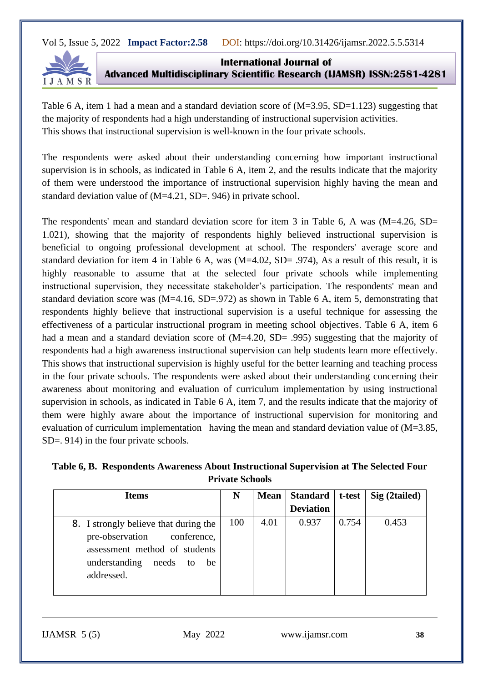

**International Journal of Advanced Multidisciplinary Scientific Research (IJAMSR) ISSN:2581-4281**

Table 6 A, item 1 had a mean and a standard deviation score of  $(M=3.95, SD=1.123)$  suggesting that the majority of respondents had a high understanding of instructional supervision activities. This shows that instructional supervision is well-known in the four private schools.

The respondents were asked about their understanding concerning how important instructional supervision is in schools, as indicated in Table 6 A, item 2, and the results indicate that the majority of them were understood the importance of instructional supervision highly having the mean and standard deviation value of (M=4.21, SD=. 946) in private school.

The respondents' mean and standard deviation score for item 3 in Table 6, A was (M=4.26, SD= 1.021), showing that the majority of respondents highly believed instructional supervision is beneficial to ongoing professional development at school. The responders' average score and standard deviation for item 4 in Table 6 A, was (M=4.02, SD= .974), As a result of this result, it is highly reasonable to assume that at the selected four private schools while implementing instructional supervision, they necessitate stakeholder's participation. The respondents' mean and standard deviation score was (M=4.16, SD=.972) as shown in Table 6 A, item 5, demonstrating that respondents highly believe that instructional supervision is a useful technique for assessing the effectiveness of a particular instructional program in meeting school objectives. Table 6 A, item 6 had a mean and a standard deviation score of  $(M=4.20, SD= .995)$  suggesting that the majority of respondents had a high awareness instructional supervision can help students learn more effectively. This shows that instructional supervision is highly useful for the better learning and teaching process in the four private schools. The respondents were asked about their understanding concerning their awareness about monitoring and evaluation of curriculum implementation by using instructional supervision in schools, as indicated in Table 6 A, item 7, and the results indicate that the majority of them were highly aware about the importance of instructional supervision for monitoring and evaluation of curriculum implementation having the mean and standard deviation value of (M=3.85, SD=. 914) in the four private schools.

| Table 6, B. Respondents Awareness About Instructional Supervision at The Selected Four |
|----------------------------------------------------------------------------------------|
| <b>Private Schools</b>                                                                 |

| Items                                                                                                                                                     | N   |      | Mean   Standard  | t-test | Sig (2tailed) |
|-----------------------------------------------------------------------------------------------------------------------------------------------------------|-----|------|------------------|--------|---------------|
|                                                                                                                                                           |     |      | <b>Deviation</b> |        |               |
| 8. I strongly believe that during the<br>pre-observation conference,<br>assessment method of students<br>understanding<br>needs<br>be<br>to<br>addressed. | 100 | 4.01 | 0.937            | 0.754  | 0.453         |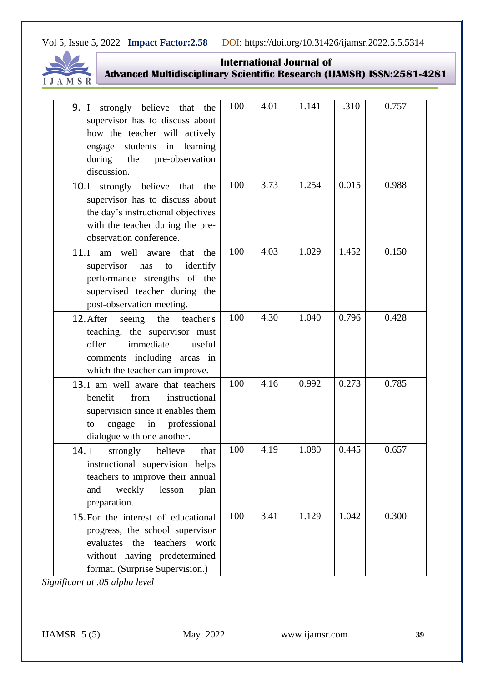

**International Journal of Advanced Multidisciplinary Scientific Research (IJAMSR) ISSN:2581-4281**

| <b>9.</b> I strongly believe that<br>the<br>supervisor has to discuss about<br>how the teacher will actively<br>engage students in learning<br>during the pre-observation<br>discussion. | 100 | 4.01 | 1.141 | $-.310$ | 0.757 |
|------------------------------------------------------------------------------------------------------------------------------------------------------------------------------------------|-----|------|-------|---------|-------|
| 10.I strongly believe that<br>the<br>supervisor has to discuss about<br>the day's instructional objectives<br>with the teacher during the pre-<br>observation conference.                | 100 | 3.73 | 1.254 | 0.015   | 0.988 |
| 11.I<br>am well aware<br>that<br>the<br>has<br>identify<br>supervisor<br>to<br>performance strengths of the<br>supervised teacher during the<br>post-observation meeting.                | 100 | 4.03 | 1.029 | 1.452   | 0.150 |
| 12. After<br>seeing<br>the<br>teacher's<br>teaching, the supervisor must<br>immediate<br>offer<br>useful<br>comments including areas in<br>which the teacher can improve.                | 100 | 4.30 | 1.040 | 0.796   | 0.428 |
| 13.1 am well aware that teachers<br>benefit<br>from<br>instructional<br>supervision since it enables them<br>professional<br>in<br>engage<br>to<br>dialogue with one another.            | 100 | 4.16 | 0.992 | 0.273   | 0.785 |
| 14. I<br>strongly<br>believe<br>that<br>instructional supervision helps<br>teachers to improve their annual<br>weekly<br>lesson<br>and<br>plan<br>preparation.                           | 100 | 4.19 | 1.080 | 0.445   | 0.657 |
| 15. For the interest of educational<br>progress, the school supervisor<br>evaluates the teachers<br>work<br>without having predetermined<br>format. (Surprise Supervision.)              | 100 | 3.41 | 1.129 | 1.042   | 0.300 |

*Significant at .05 alpha level*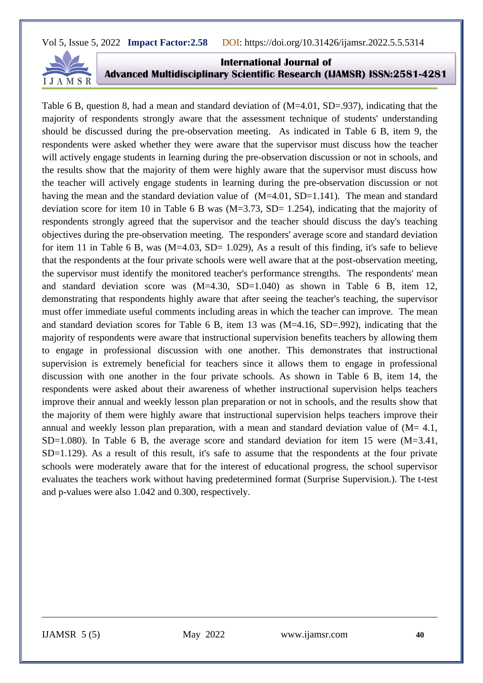

**International Journal of Advanced Multidisciplinary Scientific Research (IJAMSR) ISSN:2581-4281**

Table 6 B, question 8, had a mean and standard deviation of  $(M=4.01, SD=.937)$ , indicating that the majority of respondents strongly aware that the assessment technique of students' understanding should be discussed during the pre-observation meeting. As indicated in Table 6 B, item 9, the respondents were asked whether they were aware that the supervisor must discuss how the teacher will actively engage students in learning during the pre-observation discussion or not in schools, and the results show that the majority of them were highly aware that the supervisor must discuss how the teacher will actively engage students in learning during the pre-observation discussion or not having the mean and the standard deviation value of  $(M=4.01, SD=1.141)$ . The mean and standard deviation score for item 10 in Table 6 B was  $(M=3.73, SD= 1.254)$ , indicating that the majority of respondents strongly agreed that the supervisor and the teacher should discuss the day's teaching objectives during the pre-observation meeting. The responders' average score and standard deviation for item 11 in Table 6 B, was  $(M=4.03, SD= 1.029)$ . As a result of this finding, it's safe to believe that the respondents at the four private schools were well aware that at the post-observation meeting, the supervisor must identify the monitored teacher's performance strengths. The respondents' mean and standard deviation score was  $(M=4.30, SD=1.040)$  as shown in Table 6 B, item 12, demonstrating that respondents highly aware that after seeing the teacher's teaching, the supervisor must offer immediate useful comments including areas in which the teacher can improve. The mean and standard deviation scores for Table 6 B, item 13 was (M=4.16, SD=.992), indicating that the majority of respondents were aware that instructional supervision benefits teachers by allowing them to engage in professional discussion with one another. This demonstrates that instructional supervision is extremely beneficial for teachers since it allows them to engage in professional discussion with one another in the four private schools. As shown in Table 6 B, item 14, the respondents were asked about their awareness of whether instructional supervision helps teachers improve their annual and weekly lesson plan preparation or not in schools, and the results show that the majority of them were highly aware that instructional supervision helps teachers improve their annual and weekly lesson plan preparation, with a mean and standard deviation value of  $(M= 4.1,$ SD=1.080). In Table 6 B, the average score and standard deviation for item 15 were  $(M=3.41,$ SD=1.129). As a result of this result, it's safe to assume that the respondents at the four private schools were moderately aware that for the interest of educational progress, the school supervisor evaluates the teachers work without having predetermined format (Surprise Supervision.). The t-test and p-values were also 1.042 and 0.300, respectively.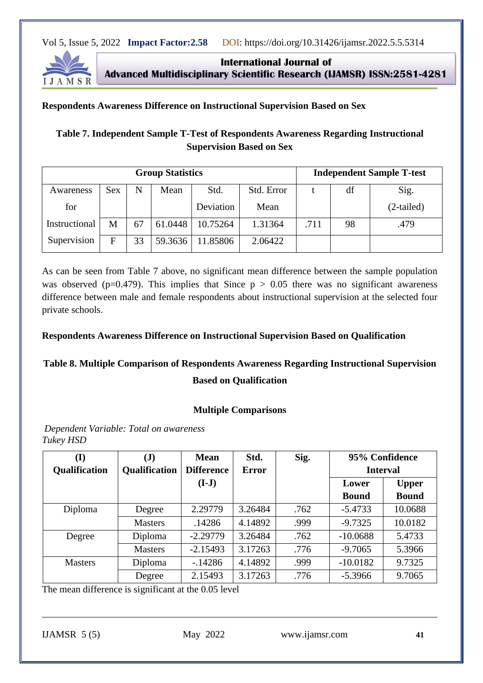

**International Journal of Advanced Multidisciplinary Scientific Research (IJAMSR) ISSN:2581-4281**

#### **Respondents Awareness Difference on Instructional Supervision Based on Sex**

# **Table 7. Independent Sample T-Test of Respondents Awareness Regarding Instructional Supervision Based on Sex**

| <b>Group Statistics</b> |            |    |         |           |            |      |    | <b>Independent Sample T-test</b> |
|-------------------------|------------|----|---------|-----------|------------|------|----|----------------------------------|
| Awareness               | <b>Sex</b> | N  | Mean    | Std.      | Std. Error |      | df | Sig.                             |
| for                     |            |    |         | Deviation | Mean       |      |    | $(2-tailed)$                     |
| Instructional           | M          | 67 | 61.0448 | 10.75264  | 1.31364    | .711 | 98 | .479                             |
| Supervision             | F          | 33 | 59.3636 | 11.85806  | 2.06422    |      |    |                                  |

As can be seen from Table 7 above, no significant mean difference between the sample population was observed ( $p=0.479$ ). This implies that Since  $p > 0.05$  there was no significant awareness difference between male and female respondents about instructional supervision at the selected four private schools.

#### **Respondents Awareness Difference on Instructional Supervision Based on Qualification**

# **Table 8. Multiple Comparison of Respondents Awareness Regarding Instructional Supervision**

#### **Based on Qualification**

#### **Multiple Comparisons**

*Dependent Variable: Total on awareness Tukey HSD*

| (I)            | $\mathbf{J}$         | <b>Mean</b>       | Std.         | Sig. |              | 95% Confidence  |
|----------------|----------------------|-------------------|--------------|------|--------------|-----------------|
| Qualification  | <b>Qualification</b> | <b>Difference</b> | <b>Error</b> |      |              | <b>Interval</b> |
|                |                      | $(I-J)$           |              |      | Lower        | <b>Upper</b>    |
|                |                      |                   |              |      | <b>Bound</b> | <b>Bound</b>    |
| Diploma        | Degree               | 2.29779           | 3.26484      | .762 | $-5.4733$    | 10.0688         |
|                | <b>Masters</b>       | .14286            | 4.14892      | .999 | $-9.7325$    | 10.0182         |
| Degree         | Diploma              | $-2.29779$        | 3.26484      | .762 | $-10.0688$   | 5.4733          |
|                | <b>Masters</b>       | $-2.15493$        | 3.17263      | .776 | $-9.7065$    | 5.3966          |
| <b>Masters</b> | Diploma              | $-14286$          | 4.14892      | .999 | $-10.0182$   | 9.7325          |
|                | Degree               | 2.15493           | 3.17263      | .776 | $-5.3966$    | 9.7065          |

The mean difference is significant at the 0.05 level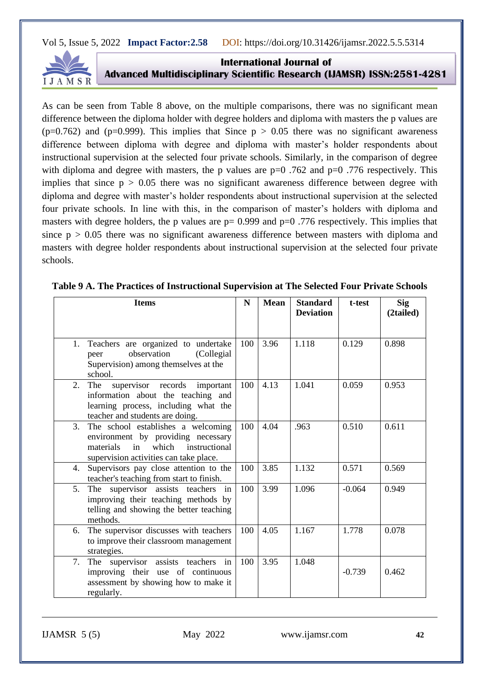

**International Journal of Advanced Multidisciplinary Scientific Research (IJAMSR) ISSN:2581-4281**

As can be seen from Table 8 above, on the multiple comparisons, there was no significant mean difference between the diploma holder with degree holders and diploma with masters the p values are  $(p=0.762)$  and  $(p=0.999)$ . This implies that Since  $p > 0.05$  there was no significant awareness difference between diploma with degree and diploma with master's holder respondents about instructional supervision at the selected four private schools. Similarly, in the comparison of degree with diploma and degree with masters, the p values are  $p=0$  .762 and  $p=0$  .776 respectively. This implies that since  $p > 0.05$  there was no significant awareness difference between degree with diploma and degree with master's holder respondents about instructional supervision at the selected four private schools. In line with this, in the comparison of master's holders with diploma and masters with degree holders, the p values are  $p= 0.999$  and  $p=0.776$  respectively. This implies that since  $p > 0.05$  there was no significant awareness difference between masters with diploma and masters with degree holder respondents about instructional supervision at the selected four private schools.

| <b>Items</b> |                                                                                                                                                              |     | <b>Mean</b> | <b>Standard</b><br><b>Deviation</b> | t-test   | <b>Sig</b><br>(2tailed) |
|--------------|--------------------------------------------------------------------------------------------------------------------------------------------------------------|-----|-------------|-------------------------------------|----------|-------------------------|
| 1.           | Teachers are organized to undertake<br>observation<br>(Collegial)<br>peer<br>Supervision) among themselves at the<br>school.                                 | 100 | 3.96        | 1.118                               | 0.129    | 0.898                   |
| 2.           | supervisor records important<br>The<br>information about the teaching and<br>learning process, including what the<br>teacher and students are doing.         | 100 | 4.13        | 1.041                               | 0.059    | 0.953                   |
| 3.           | The school establishes a welcoming<br>environment by providing necessary<br>which instructional<br>materials<br>in<br>supervision activities can take place. | 100 | 4.04        | .963                                | 0.510    | 0.611                   |
| 4.           | Supervisors pay close attention to the<br>teacher's teaching from start to finish.                                                                           | 100 | 3.85        | 1.132                               | 0.571    | 0.569                   |
| 5.           | The supervisor assists teachers<br>in<br>improving their teaching methods by<br>telling and showing the better teaching<br>methods.                          | 100 | 3.99        | 1.096                               | $-0.064$ | 0.949                   |
| 6.           | The supervisor discusses with teachers<br>to improve their classroom management<br>strategies.                                                               | 100 | 4.05        | 1.167                               | 1.778    | 0.078                   |
| 7.           | The supervisor assists teachers in<br>improving their use of continuous<br>assessment by showing how to make it<br>regularly.                                | 100 | 3.95        | 1.048                               | $-0.739$ | 0.462                   |

| Table 9 A. The Practices of Instructional Supervision at The Selected Four Private Schools |  |  |  |
|--------------------------------------------------------------------------------------------|--|--|--|
|--------------------------------------------------------------------------------------------|--|--|--|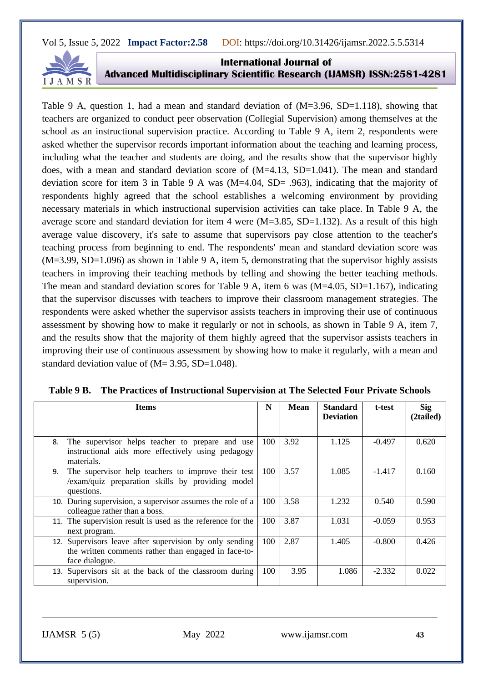

**International Journal of Advanced Multidisciplinary Scientific Research (IJAMSR) ISSN:2581-4281**

Table 9 A, question 1, had a mean and standard deviation of  $(M=3.96, SD=1.118)$ , showing that teachers are organized to conduct peer observation (Collegial Supervision) among themselves at the school as an instructional supervision practice. According to Table 9 A, item 2, respondents were asked whether the supervisor records important information about the teaching and learning process, including what the teacher and students are doing, and the results show that the supervisor highly does, with a mean and standard deviation score of  $(M=4.13, SD=1.041)$ . The mean and standard deviation score for item 3 in Table 9 A was (M=4.04, SD= .963), indicating that the majority of respondents highly agreed that the school establishes a welcoming environment by providing necessary materials in which instructional supervision activities can take place. In Table 9 A, the average score and standard deviation for item 4 were  $(M=3.85, SD=1.132)$ . As a result of this high average value discovery, it's safe to assume that supervisors pay close attention to the teacher's teaching process from beginning to end. The respondents' mean and standard deviation score was (M=3.99, SD=1.096) as shown in Table 9 A, item 5, demonstrating that the supervisor highly assists teachers in improving their teaching methods by telling and showing the better teaching methods. The mean and standard deviation scores for Table 9 A, item 6 was (M=4.05, SD=1.167), indicating that the supervisor discusses with teachers to improve their classroom management strategies. The respondents were asked whether the supervisor assists teachers in improving their use of continuous assessment by showing how to make it regularly or not in schools, as shown in Table 9 A, item 7, and the results show that the majority of them highly agreed that the supervisor assists teachers in improving their use of continuous assessment by showing how to make it regularly, with a mean and standard deviation value of  $(M= 3.95, SD=1.048)$ .

| <b>Items</b>                                                                                                                      | N   | <b>Mean</b> | <b>Standard</b><br><b>Deviation</b> | t-test   | <b>Sig</b><br>(2tailed) |
|-----------------------------------------------------------------------------------------------------------------------------------|-----|-------------|-------------------------------------|----------|-------------------------|
| The supervisor helps teacher to prepare and use<br>8.<br>instructional aids more effectively using pedagogy<br>materials.         | 100 | 3.92        | 1.125                               | $-0.497$ | 0.620                   |
| The supervisor help teachers to improve their test<br>9.<br>/exam/quiz preparation skills by providing model<br>questions.        | 100 | 3.57        | 1.085                               | $-1.417$ | 0.160                   |
| 10. During supervision, a supervisor assumes the role of a<br>colleague rather than a boss.                                       | 100 | 3.58        | 1.232                               | 0.540    | 0.590                   |
| 11. The supervision result is used as the reference for the<br>next program.                                                      | 100 | 3.87        | 1.031                               | $-0.059$ | 0.953                   |
| 12. Supervisors leave after supervision by only sending<br>the written comments rather than engaged in face-to-<br>face dialogue. | 100 | 2.87        | 1.405                               | $-0.800$ | 0.426                   |
| 13. Supervisors sit at the back of the classroom during<br>supervision.                                                           | 100 | 3.95        | 1.086                               | $-2.332$ | 0.022                   |

|  |  | Table 9 B. The Practices of Instructional Supervision at The Selected Four Private Schools |
|--|--|--------------------------------------------------------------------------------------------|
|  |  |                                                                                            |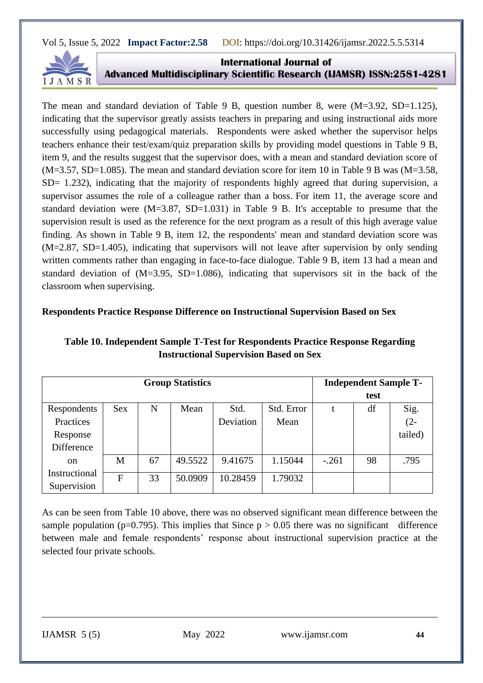

**International Journal of Advanced Multidisciplinary Scientific Research (IJAMSR) ISSN:2581-4281**

The mean and standard deviation of Table 9 B, question number 8, were  $(M=3.92, SD=1.125)$ , indicating that the supervisor greatly assists teachers in preparing and using instructional aids more successfully using pedagogical materials. Respondents were asked whether the supervisor helps teachers enhance their test/exam/quiz preparation skills by providing model questions in Table 9 B, item 9, and the results suggest that the supervisor does, with a mean and standard deviation score of  $(M=3.57, SD=1.085)$ . The mean and standard deviation score for item 10 in Table 9 B was  $(M=3.58, S=1.085)$ SD= 1.232), indicating that the majority of respondents highly agreed that during supervision, a supervisor assumes the role of a colleague rather than a boss. For item 11, the average score and standard deviation were  $(M=3.87, SD=1.031)$  in Table 9 B. It's acceptable to presume that the supervision result is used as the reference for the next program as a result of this high average value finding. As shown in Table 9 B, item 12, the respondents' mean and standard deviation score was (M=2.87, SD=1.405), indicating that supervisors will not leave after supervision by only sending written comments rather than engaging in face-to-face dialogue. Table 9 B, item 13 had a mean and standard deviation of  $(M=3.95, SD=1.086)$ , indicating that supervisors sit in the back of the classroom when supervising.

#### **Respondents Practice Response Difference on Instructional Supervision Based on Sex**

| <b>Group Statistics</b>      |                |    |         |           |            |         | <b>Independent Sample T-</b> |         |
|------------------------------|----------------|----|---------|-----------|------------|---------|------------------------------|---------|
|                              |                |    |         |           |            |         | test                         |         |
| Respondents                  | <b>Sex</b>     | N  | Mean    | Std.      | Std. Error | t       | df                           | Sig.    |
| Practices                    |                |    |         | Deviation | Mean       |         |                              | $(2 -$  |
| Response                     |                |    |         |           |            |         |                              | tailed) |
| <b>Difference</b>            |                |    |         |           |            |         |                              |         |
| <sub>on</sub>                | M              | 67 | 49.5522 | 9.41675   | 1.15044    | $-.261$ | 98                           | .795    |
| Instructional<br>Supervision | $\overline{F}$ | 33 | 50.0909 | 10.28459  | 1.79032    |         |                              |         |

# **Table 10. Independent Sample T-Test for Respondents Practice Response Regarding Instructional Supervision Based on Sex**

As can be seen from Table 10 above, there was no observed significant mean difference between the sample population (p=0.795). This implies that Since  $p > 0.05$  there was no significant difference between male and female respondents' response about instructional supervision practice at the selected four private schools.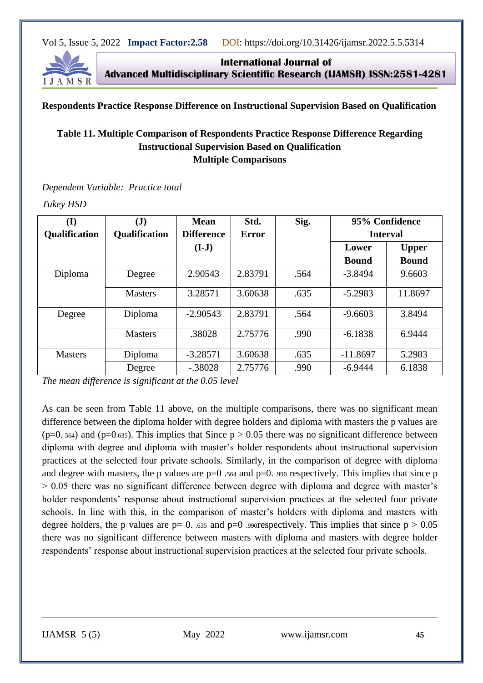

**International Journal of Advanced Multidisciplinary Scientific Research (IJAMSR) ISSN:2581-4281**

#### **Respondents Practice Response Difference on Instructional Supervision Based on Qualification**

# **Table 11. Multiple Comparison of Respondents Practice Response Difference Regarding Instructional Supervision Based on Qualification Multiple Comparisons**

*Dependent Variable: Practice total*

*Tukey HSD*

| (I)            | $(\mathbf{J})$       | <b>Mean</b>       | Std.         |      | 95% Confidence  |              |  |
|----------------|----------------------|-------------------|--------------|------|-----------------|--------------|--|
| Qualification  | <b>Qualification</b> | <b>Difference</b> | <b>Error</b> |      | <b>Interval</b> |              |  |
|                |                      | $(I-J)$           |              |      | Lower           | <b>Upper</b> |  |
|                |                      |                   |              |      | <b>Bound</b>    | <b>Bound</b> |  |
| Diploma        | Degree               | 2.90543           | 2.83791      | .564 | $-3.8494$       | 9.6603       |  |
|                | <b>Masters</b>       | 3.28571           | 3.60638      | .635 | $-5.2983$       | 11.8697      |  |
| Degree         | Diploma              | $-2.90543$        | 2.83791      | .564 | $-9.6603$       | 3.8494       |  |
|                | <b>Masters</b>       | .38028            | 2.75776      | .990 | $-6.1838$       | 6.9444       |  |
| <b>Masters</b> | Diploma              | $-3.28571$        | 3.60638      | .635 | $-11.8697$      | 5.2983       |  |
|                | Degree               | $-.38028$         | 2.75776      | .990 | $-6.9444$       | 6.1838       |  |

*The mean difference is significant at the 0.05 level*

As can be seen from Table 11 above, on the multiple comparisons, there was no significant mean difference between the diploma holder with degree holders and diploma with masters the p values are  $(p=0.564)$  and  $(p=0.635)$ . This implies that Since  $p > 0.05$  there was no significant difference between diploma with degree and diploma with master's holder respondents about instructional supervision practices at the selected four private schools. Similarly, in the comparison of degree with diploma and degree with masters, the p values are  $p=0$  .564 and  $p=0$ . .990 respectively. This implies that since p > 0.05 there was no significant difference between degree with diploma and degree with master's holder respondents' response about instructional supervision practices at the selected four private schools. In line with this, in the comparison of master's holders with diploma and masters with degree holders, the p values are  $p= 0$ . .635 and  $p=0$  .990respectively. This implies that since  $p > 0.05$ there was no significant difference between masters with diploma and masters with degree holder respondents' response about instructional supervision practices at the selected four private schools.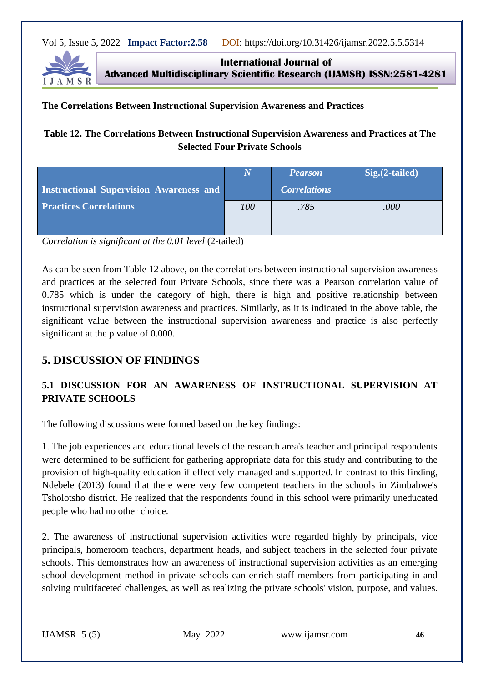

**International Journal of Advanced Multidisciplinary Scientific Research (IJAMSR) ISSN:2581-4281**

#### **The Correlations Between Instructional Supervision Awareness and Practices**

# **Table 12. The Correlations Between Instructional Supervision Awareness and Practices at The Selected Four Private Schools**

|                                                |     | <b>Pearson</b>      | $Sig.(2-tailed)$ |
|------------------------------------------------|-----|---------------------|------------------|
| <b>Instructional Supervision Awareness and</b> |     | <b>Correlations</b> |                  |
| <b>Practices Correlations</b>                  | 100 | .785                | .000             |
|                                                |     |                     |                  |

*Correlation is significant at the 0.01 level* (2-tailed)

As can be seen from Table 12 above, on the correlations between instructional supervision awareness and practices at the selected four Private Schools, since there was a Pearson correlation value of 0.785 which is under the category of high, there is high and positive relationship between instructional supervision awareness and practices. Similarly, as it is indicated in the above table, the significant value between the instructional supervision awareness and practice is also perfectly significant at the p value of 0.000.

# **5. DISCUSSION OF FINDINGS**

# **5.1 DISCUSSION FOR AN AWARENESS OF INSTRUCTIONAL SUPERVISION AT PRIVATE SCHOOLS**

The following discussions were formed based on the key findings:

1. The job experiences and educational levels of the research area's teacher and principal respondents were determined to be sufficient for gathering appropriate data for this study and contributing to the provision of high-quality education if effectively managed and supported. In contrast to this finding, Ndebele (2013) found that there were very few competent teachers in the schools in Zimbabwe's Tsholotsho district. He realized that the respondents found in this school were primarily uneducated people who had no other choice.

2. The awareness of instructional supervision activities were regarded highly by principals, vice principals, homeroom teachers, department heads, and subject teachers in the selected four private schools. This demonstrates how an awareness of instructional supervision activities as an emerging school development method in private schools can enrich staff members from participating in and solving multifaceted challenges, as well as realizing the private schools' vision, purpose, and values.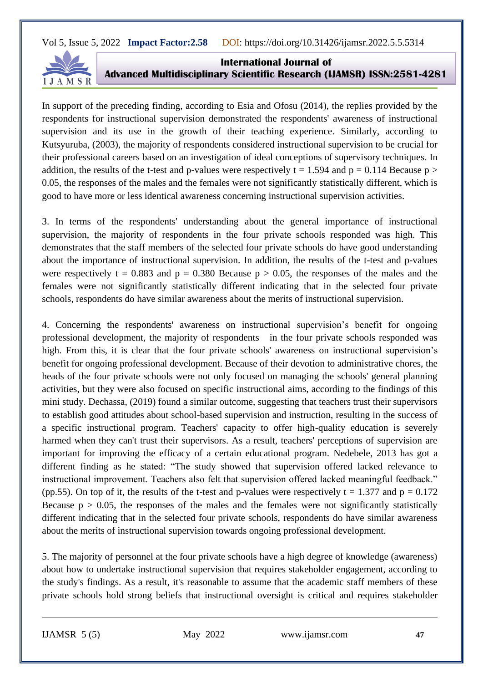

**International Journal of Advanced Multidisciplinary Scientific Research (IJAMSR) ISSN:2581-4281**

In support of the preceding finding, according to Esia and Ofosu (2014), the replies provided by the respondents for instructional supervision demonstrated the respondents' awareness of instructional supervision and its use in the growth of their teaching experience. Similarly, according to Kutsyuruba, (2003), the majority of respondents considered instructional supervision to be crucial for their professional careers based on an investigation of ideal conceptions of supervisory techniques. In addition, the results of the t-test and p-values were respectively  $t = 1.594$  and  $p = 0.114$  Because  $p >$ 0.05, the responses of the males and the females were not significantly statistically different, which is good to have more or less identical awareness concerning instructional supervision activities.

3. In terms of the respondents' understanding about the general importance of instructional supervision, the majority of respondents in the four private schools responded was high. This demonstrates that the staff members of the selected four private schools do have good understanding about the importance of instructional supervision. In addition, the results of the t-test and p-values were respectively t = 0.883 and  $p = 0.380$  Because  $p > 0.05$ , the responses of the males and the females were not significantly statistically different indicating that in the selected four private schools, respondents do have similar awareness about the merits of instructional supervision.

4. Concerning the respondents' awareness on instructional supervision's benefit for ongoing professional development, the majority of respondents in the four private schools responded was high. From this, it is clear that the four private schools' awareness on instructional supervision's benefit for ongoing professional development. Because of their devotion to administrative chores, the heads of the four private schools were not only focused on managing the schools' general planning activities, but they were also focused on specific instructional aims, according to the findings of this mini study. Dechassa, (2019) found a similar outcome, suggesting that teachers trust their supervisors to establish good attitudes about school-based supervision and instruction, resulting in the success of a specific instructional program. Teachers' capacity to offer high-quality education is severely harmed when they can't trust their supervisors. As a result, teachers' perceptions of supervision are important for improving the efficacy of a certain educational program. Nedebele, 2013 has got a different finding as he stated: "The study showed that supervision offered lacked relevance to instructional improvement. Teachers also felt that supervision offered lacked meaningful feedback." (pp.55). On top of it, the results of the t-test and p-values were respectively  $t = 1.377$  and  $p = 0.172$ Because  $p > 0.05$ , the responses of the males and the females were not significantly statistically different indicating that in the selected four private schools, respondents do have similar awareness about the merits of instructional supervision towards ongoing professional development.

5. The majority of personnel at the four private schools have a high degree of knowledge (awareness) about how to undertake instructional supervision that requires stakeholder engagement, according to the study's findings. As a result, it's reasonable to assume that the academic staff members of these private schools hold strong beliefs that instructional oversight is critical and requires stakeholder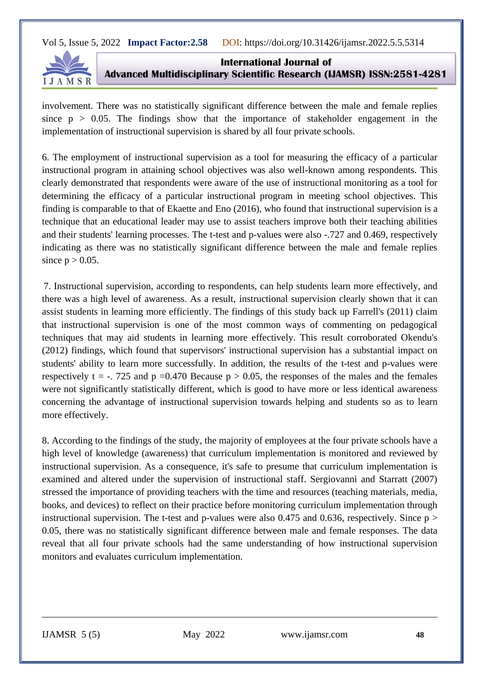

**International Journal of Advanced Multidisciplinary Scientific Research (IJAMSR) ISSN:2581-4281**

involvement. There was no statistically significant difference between the male and female replies since  $p > 0.05$ . The findings show that the importance of stakeholder engagement in the implementation of instructional supervision is shared by all four private schools.

6. The employment of instructional supervision as a tool for measuring the efficacy of a particular instructional program in attaining school objectives was also well-known among respondents. This clearly demonstrated that respondents were aware of the use of instructional monitoring as a tool for determining the efficacy of a particular instructional program in meeting school objectives. This finding is comparable to that of Ekaette and Eno (2016), who found that instructional supervision is a technique that an educational leader may use to assist teachers improve both their teaching abilities and their students' learning processes. The t-test and p-values were also -.727 and 0.469, respectively indicating as there was no statistically significant difference between the male and female replies since  $p > 0.05$ .

7. Instructional supervision, according to respondents, can help students learn more effectively, and there was a high level of awareness. As a result, instructional supervision clearly shown that it can assist students in learning more efficiently. The findings of this study back up Farrell's (2011) claim that instructional supervision is one of the most common ways of commenting on pedagogical techniques that may aid students in learning more effectively. This result corroborated Okendu's (2012) findings, which found that supervisors' instructional supervision has a substantial impact on students' ability to learn more successfully. In addition, the results of the t-test and p-values were respectively t = -. 725 and p =0.470 Because  $p > 0.05$ , the responses of the males and the females were not significantly statistically different, which is good to have more or less identical awareness concerning the advantage of instructional supervision towards helping and students so as to learn more effectively.

8. According to the findings of the study, the majority of employees at the four private schools have a high level of knowledge (awareness) that curriculum implementation is monitored and reviewed by instructional supervision. As a consequence, it's safe to presume that curriculum implementation is examined and altered under the supervision of instructional staff. Sergiovanni and Starratt (2007) stressed the importance of providing teachers with the time and resources (teaching materials, media, books, and devices) to reflect on their practice before monitoring curriculum implementation through instructional supervision. The t-test and p-values were also 0.475 and 0.636, respectively. Since  $p >$ 0.05, there was no statistically significant difference between male and female responses. The data reveal that all four private schools had the same understanding of how instructional supervision monitors and evaluates curriculum implementation.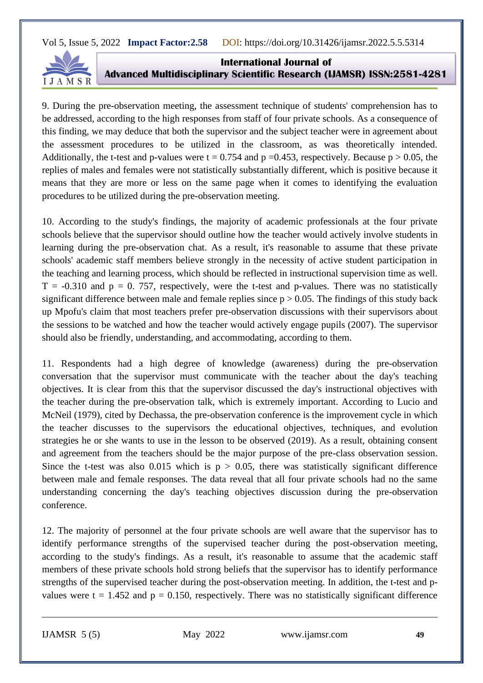

**International Journal of Advanced Multidisciplinary Scientific Research (IJAMSR) ISSN:2581-4281**

9. During the pre-observation meeting, the assessment technique of students' comprehension has to be addressed, according to the high responses from staff of four private schools. As a consequence of this finding, we may deduce that both the supervisor and the subject teacher were in agreement about the assessment procedures to be utilized in the classroom, as was theoretically intended. Additionally, the t-test and p-values were  $t = 0.754$  and p =0.453, respectively. Because p > 0.05, the replies of males and females were not statistically substantially different, which is positive because it means that they are more or less on the same page when it comes to identifying the evaluation procedures to be utilized during the pre-observation meeting.

10. According to the study's findings, the majority of academic professionals at the four private schools believe that the supervisor should outline how the teacher would actively involve students in learning during the pre-observation chat. As a result, it's reasonable to assume that these private schools' academic staff members believe strongly in the necessity of active student participation in the teaching and learning process, which should be reflected in instructional supervision time as well.  $T = -0.310$  and  $p = 0.757$ , respectively, were the t-test and p-values. There was no statistically significant difference between male and female replies since  $p > 0.05$ . The findings of this study back up Mpofu's claim that most teachers prefer pre-observation discussions with their supervisors about the sessions to be watched and how the teacher would actively engage pupils (2007). The supervisor should also be friendly, understanding, and accommodating, according to them.

11. Respondents had a high degree of knowledge (awareness) during the pre-observation conversation that the supervisor must communicate with the teacher about the day's teaching objectives. It is clear from this that the supervisor discussed the day's instructional objectives with the teacher during the pre-observation talk, which is extremely important. According to Lucio and McNeil (1979), cited by Dechassa, the pre-observation conference is the improvement cycle in which the teacher discusses to the supervisors the educational objectives, techniques, and evolution strategies he or she wants to use in the lesson to be observed (2019). As a result, obtaining consent and agreement from the teachers should be the major purpose of the pre-class observation session. Since the t-test was also 0.015 which is  $p > 0.05$ , there was statistically significant difference between male and female responses. The data reveal that all four private schools had no the same understanding concerning the day's teaching objectives discussion during the pre-observation conference.

12. The majority of personnel at the four private schools are well aware that the supervisor has to identify performance strengths of the supervised teacher during the post-observation meeting, according to the study's findings. As a result, it's reasonable to assume that the academic staff members of these private schools hold strong beliefs that the supervisor has to identify performance strengths of the supervised teacher during the post-observation meeting. In addition, the t-test and pvalues were  $t = 1.452$  and  $p = 0.150$ , respectively. There was no statistically significant difference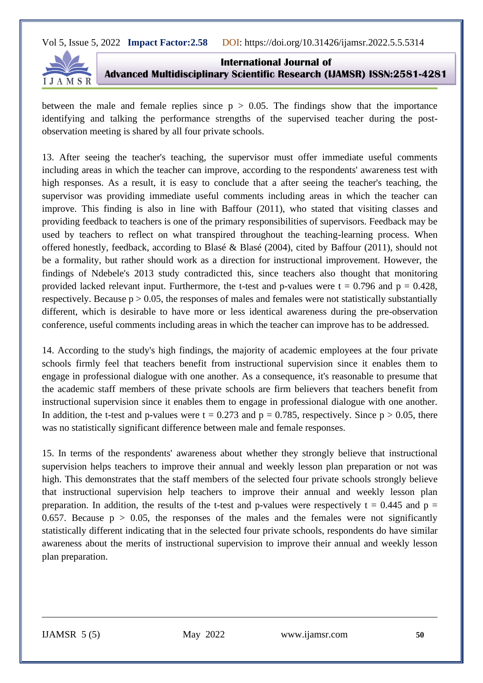

**International Journal of Advanced Multidisciplinary Scientific Research (IJAMSR) ISSN:2581-4281**

between the male and female replies since  $p > 0.05$ . The findings show that the importance identifying and talking the performance strengths of the supervised teacher during the postobservation meeting is shared by all four private schools.

13. After seeing the teacher's teaching, the supervisor must offer immediate useful comments including areas in which the teacher can improve, according to the respondents' awareness test with high responses. As a result, it is easy to conclude that a after seeing the teacher's teaching, the supervisor was providing immediate useful comments including areas in which the teacher can improve. This finding is also in line with Baffour (2011), who stated that visiting classes and providing feedback to teachers is one of the primary responsibilities of supervisors. Feedback may be used by teachers to reflect on what transpired throughout the teaching-learning process. When offered honestly, feedback, according to Blasé & Blasé (2004), cited by Baffour (2011), should not be a formality, but rather should work as a direction for instructional improvement. However, the findings of Ndebele's 2013 study contradicted this, since teachers also thought that monitoring provided lacked relevant input. Furthermore, the t-test and p-values were  $t = 0.796$  and  $p = 0.428$ , respectively. Because  $p > 0.05$ , the responses of males and females were not statistically substantially different, which is desirable to have more or less identical awareness during the pre-observation conference, useful comments including areas in which the teacher can improve has to be addressed.

14. According to the study's high findings, the majority of academic employees at the four private schools firmly feel that teachers benefit from instructional supervision since it enables them to engage in professional dialogue with one another. As a consequence, it's reasonable to presume that the academic staff members of these private schools are firm believers that teachers benefit from instructional supervision since it enables them to engage in professional dialogue with one another. In addition, the t-test and p-values were  $t = 0.273$  and  $p = 0.785$ , respectively. Since  $p > 0.05$ , there was no statistically significant difference between male and female responses.

15. In terms of the respondents' awareness about whether they strongly believe that instructional supervision helps teachers to improve their annual and weekly lesson plan preparation or not was high. This demonstrates that the staff members of the selected four private schools strongly believe that instructional supervision help teachers to improve their annual and weekly lesson plan preparation. In addition, the results of the t-test and p-values were respectively  $t = 0.445$  and  $p =$ 0.657. Because  $p > 0.05$ , the responses of the males and the females were not significantly statistically different indicating that in the selected four private schools, respondents do have similar awareness about the merits of instructional supervision to improve their annual and weekly lesson plan preparation.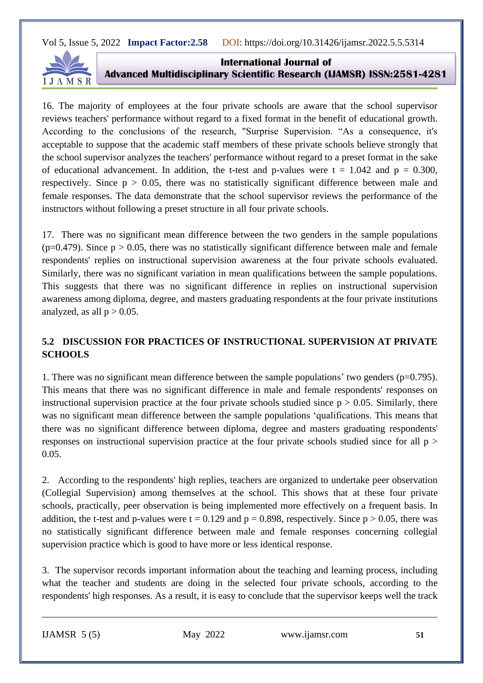

**International Journal of Advanced Multidisciplinary Scientific Research (IJAMSR) ISSN:2581-4281**

16. The majority of employees at the four private schools are aware that the school supervisor reviews teachers' performance without regard to a fixed format in the benefit of educational growth. According to the conclusions of the research, "Surprise Supervision. "As a consequence, it's acceptable to suppose that the academic staff members of these private schools believe strongly that the school supervisor analyzes the teachers' performance without regard to a preset format in the sake of educational advancement. In addition, the t-test and p-values were  $t = 1.042$  and  $p = 0.300$ , respectively. Since  $p > 0.05$ , there was no statistically significant difference between male and female responses. The data demonstrate that the school supervisor reviews the performance of the instructors without following a preset structure in all four private schools.

17. There was no significant mean difference between the two genders in the sample populations  $(p=0.479)$ . Since  $p > 0.05$ , there was no statistically significant difference between male and female respondents' replies on instructional supervision awareness at the four private schools evaluated. Similarly, there was no significant variation in mean qualifications between the sample populations. This suggests that there was no significant difference in replies on instructional supervision awareness among diploma, degree, and masters graduating respondents at the four private institutions analyzed, as all  $p > 0.05$ .

# **5.2 DISCUSSION FOR PRACTICES OF INSTRUCTIONAL SUPERVISION AT PRIVATE SCHOOLS**

1. There was no significant mean difference between the sample populations' two genders ( $p=0.795$ ). This means that there was no significant difference in male and female respondents' responses on instructional supervision practice at the four private schools studied since  $p > 0.05$ . Similarly, there was no significant mean difference between the sample populations 'qualifications. This means that there was no significant difference between diploma, degree and masters graduating respondents' responses on instructional supervision practice at the four private schools studied since for all p > 0.05.

2. According to the respondents' high replies, teachers are organized to undertake peer observation (Collegial Supervision) among themselves at the school. This shows that at these four private schools, practically, peer observation is being implemented more effectively on a frequent basis. In addition, the t-test and p-values were  $t = 0.129$  and  $p = 0.898$ , respectively. Since  $p > 0.05$ , there was no statistically significant difference between male and female responses concerning collegial supervision practice which is good to have more or less identical response.

3. The supervisor records important information about the teaching and learning process, including what the teacher and students are doing in the selected four private schools, according to the respondents' high responses. As a result, it is easy to conclude that the supervisor keeps well the track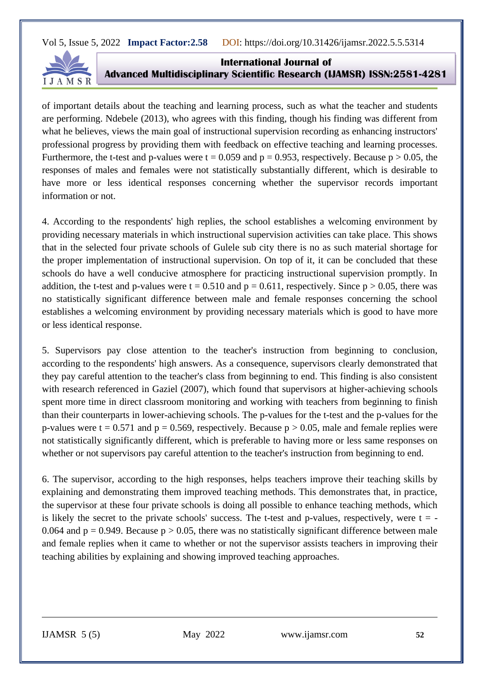

**International Journal of Advanced Multidisciplinary Scientific Research (IJAMSR) ISSN:2581-4281**

of important details about the teaching and learning process, such as what the teacher and students are performing. Ndebele (2013), who agrees with this finding, though his finding was different from what he believes, views the main goal of instructional supervision recording as enhancing instructors' professional progress by providing them with feedback on effective teaching and learning processes. Furthermore, the t-test and p-values were  $t = 0.059$  and  $p = 0.953$ , respectively. Because  $p > 0.05$ , the responses of males and females were not statistically substantially different, which is desirable to have more or less identical responses concerning whether the supervisor records important information or not.

4. According to the respondents' high replies, the school establishes a welcoming environment by providing necessary materials in which instructional supervision activities can take place. This shows that in the selected four private schools of Gulele sub city there is no as such material shortage for the proper implementation of instructional supervision. On top of it, it can be concluded that these schools do have a well conducive atmosphere for practicing instructional supervision promptly. In addition, the t-test and p-values were t = 0.510 and  $p = 0.611$ , respectively. Since  $p > 0.05$ , there was no statistically significant difference between male and female responses concerning the school establishes a welcoming environment by providing necessary materials which is good to have more or less identical response.

5. Supervisors pay close attention to the teacher's instruction from beginning to conclusion, according to the respondents' high answers. As a consequence, supervisors clearly demonstrated that they pay careful attention to the teacher's class from beginning to end. This finding is also consistent with research referenced in Gaziel (2007), which found that supervisors at higher-achieving schools spent more time in direct classroom monitoring and working with teachers from beginning to finish than their counterparts in lower-achieving schools. The p-values for the t-test and the p-values for the p-values were  $t = 0.571$  and  $p = 0.569$ , respectively. Because  $p > 0.05$ , male and female replies were not statistically significantly different, which is preferable to having more or less same responses on whether or not supervisors pay careful attention to the teacher's instruction from beginning to end.

6. The supervisor, according to the high responses, helps teachers improve their teaching skills by explaining and demonstrating them improved teaching methods. This demonstrates that, in practice, the supervisor at these four private schools is doing all possible to enhance teaching methods, which is likely the secret to the private schools' success. The t-test and p-values, respectively, were  $t = -$ 0.064 and  $p = 0.949$ . Because  $p > 0.05$ , there was no statistically significant difference between male and female replies when it came to whether or not the supervisor assists teachers in improving their teaching abilities by explaining and showing improved teaching approaches.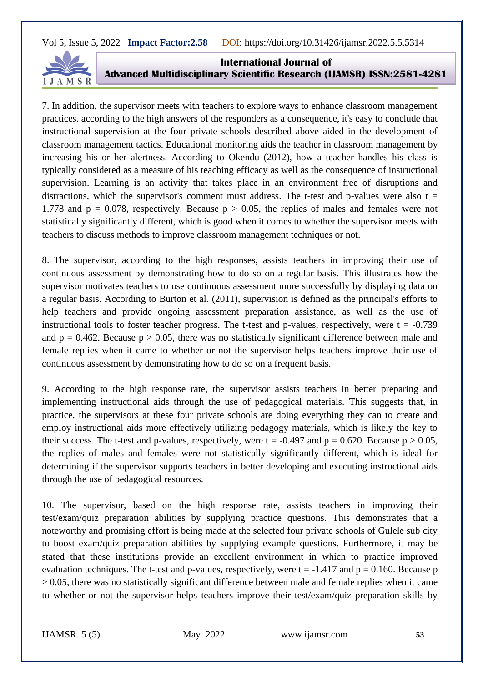

**International Journal of Advanced Multidisciplinary Scientific Research (IJAMSR) ISSN:2581-4281**

7. In addition, the supervisor meets with teachers to explore ways to enhance classroom management practices. according to the high answers of the responders as a consequence, it's easy to conclude that instructional supervision at the four private schools described above aided in the development of classroom management tactics. Educational monitoring aids the teacher in classroom management by increasing his or her alertness. According to Okendu (2012), how a teacher handles his class is typically considered as a measure of his teaching efficacy as well as the consequence of instructional supervision. Learning is an activity that takes place in an environment free of disruptions and distractions, which the supervisor's comment must address. The t-test and p-values were also  $t =$ 1.778 and  $p = 0.078$ , respectively. Because  $p > 0.05$ , the replies of males and females were not statistically significantly different, which is good when it comes to whether the supervisor meets with teachers to discuss methods to improve classroom management techniques or not.

8. The supervisor, according to the high responses, assists teachers in improving their use of continuous assessment by demonstrating how to do so on a regular basis. This illustrates how the supervisor motivates teachers to use continuous assessment more successfully by displaying data on a regular basis. According to Burton et al. (2011), supervision is defined as the principal's efforts to help teachers and provide ongoing assessment preparation assistance, as well as the use of instructional tools to foster teacher progress. The t-test and p-values, respectively, were  $t = -0.739$ and  $p = 0.462$ . Because  $p > 0.05$ , there was no statistically significant difference between male and female replies when it came to whether or not the supervisor helps teachers improve their use of continuous assessment by demonstrating how to do so on a frequent basis.

9. According to the high response rate, the supervisor assists teachers in better preparing and implementing instructional aids through the use of pedagogical materials. This suggests that, in practice, the supervisors at these four private schools are doing everything they can to create and employ instructional aids more effectively utilizing pedagogy materials, which is likely the key to their success. The t-test and p-values, respectively, were  $t = -0.497$  and  $p = 0.620$ . Because  $p > 0.05$ , the replies of males and females were not statistically significantly different, which is ideal for determining if the supervisor supports teachers in better developing and executing instructional aids through the use of pedagogical resources.

10. The supervisor, based on the high response rate, assists teachers in improving their test/exam/quiz preparation abilities by supplying practice questions. This demonstrates that a noteworthy and promising effort is being made at the selected four private schools of Gulele sub city to boost exam/quiz preparation abilities by supplying example questions. Furthermore, it may be stated that these institutions provide an excellent environment in which to practice improved evaluation techniques. The t-test and p-values, respectively, were  $t = -1.417$  and  $p = 0.160$ . Because p  $> 0.05$ , there was no statistically significant difference between male and female replies when it came to whether or not the supervisor helps teachers improve their test/exam/quiz preparation skills by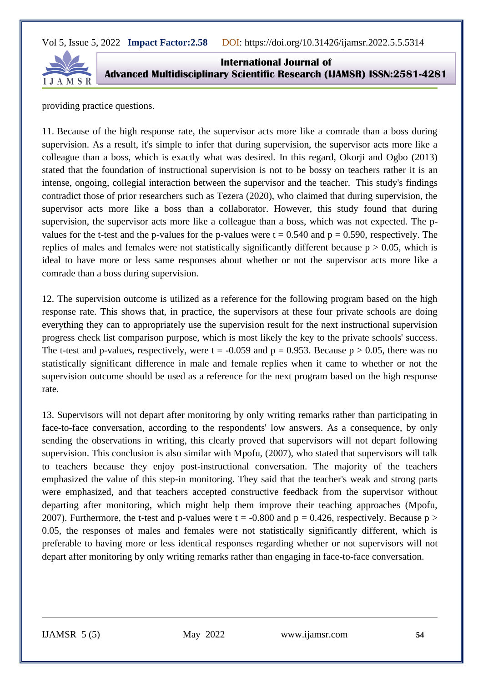

**International Journal of Advanced Multidisciplinary Scientific Research (IJAMSR) ISSN:2581-4281**

providing practice questions.

11. Because of the high response rate, the supervisor acts more like a comrade than a boss during supervision. As a result, it's simple to infer that during supervision, the supervisor acts more like a colleague than a boss, which is exactly what was desired. In this regard, Okorji and Ogbo (2013) stated that the foundation of instructional supervision is not to be bossy on teachers rather it is an intense, ongoing, collegial interaction between the supervisor and the teacher. This study's findings contradict those of prior researchers such as Tezera (2020), who claimed that during supervision, the supervisor acts more like a boss than a collaborator. However, this study found that during supervision, the supervisor acts more like a colleague than a boss, which was not expected. The pvalues for the t-test and the p-values for the p-values were  $t = 0.540$  and  $p = 0.590$ , respectively. The replies of males and females were not statistically significantly different because  $p > 0.05$ , which is ideal to have more or less same responses about whether or not the supervisor acts more like a comrade than a boss during supervision.

12. The supervision outcome is utilized as a reference for the following program based on the high response rate. This shows that, in practice, the supervisors at these four private schools are doing everything they can to appropriately use the supervision result for the next instructional supervision progress check list comparison purpose, which is most likely the key to the private schools' success. The t-test and p-values, respectively, were  $t = -0.059$  and  $p = 0.953$ . Because  $p > 0.05$ , there was no statistically significant difference in male and female replies when it came to whether or not the supervision outcome should be used as a reference for the next program based on the high response rate.

13. Supervisors will not depart after monitoring by only writing remarks rather than participating in face-to-face conversation, according to the respondents' low answers. As a consequence, by only sending the observations in writing, this clearly proved that supervisors will not depart following supervision. This conclusion is also similar with Mpofu, (2007), who stated that supervisors will talk to teachers because they enjoy post-instructional conversation. The majority of the teachers emphasized the value of this step-in monitoring. They said that the teacher's weak and strong parts were emphasized, and that teachers accepted constructive feedback from the supervisor without departing after monitoring, which might help them improve their teaching approaches (Mpofu, 2007). Furthermore, the t-test and p-values were  $t = -0.800$  and  $p = 0.426$ , respectively. Because  $p >$ 0.05, the responses of males and females were not statistically significantly different, which is preferable to having more or less identical responses regarding whether or not supervisors will not depart after monitoring by only writing remarks rather than engaging in face-to-face conversation.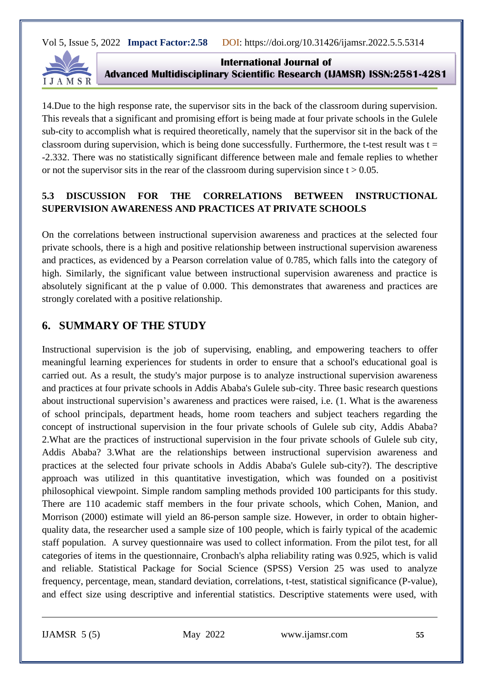

**International Journal of Advanced Multidisciplinary Scientific Research (IJAMSR) ISSN:2581-4281**

14.Due to the high response rate, the supervisor sits in the back of the classroom during supervision. This reveals that a significant and promising effort is being made at four private schools in the Gulele sub-city to accomplish what is required theoretically, namely that the supervisor sit in the back of the classroom during supervision, which is being done successfully. Furthermore, the t-test result was  $t =$ -2.332. There was no statistically significant difference between male and female replies to whether or not the supervisor sits in the rear of the classroom during supervision since  $t > 0.05$ .

# **5.3 DISCUSSION FOR THE CORRELATIONS BETWEEN INSTRUCTIONAL SUPERVISION AWARENESS AND PRACTICES AT PRIVATE SCHOOLS**

On the correlations between instructional supervision awareness and practices at the selected four private schools, there is a high and positive relationship between instructional supervision awareness and practices, as evidenced by a Pearson correlation value of 0.785, which falls into the category of high. Similarly, the significant value between instructional supervision awareness and practice is absolutely significant at the p value of 0.000. This demonstrates that awareness and practices are strongly corelated with a positive relationship.

# **6. SUMMARY OF THE STUDY**

Instructional supervision is the job of supervising, enabling, and empowering teachers to offer meaningful learning experiences for students in order to ensure that a school's educational goal is carried out. As a result, the study's major purpose is to analyze instructional supervision awareness and practices at four private schools in Addis Ababa's Gulele sub-city. Three basic research questions about instructional supervision's awareness and practices were raised, i.e. (1. What is the awareness of school principals, department heads, home room teachers and subject teachers regarding the concept of instructional supervision in the four private schools of Gulele sub city, Addis Ababa? 2.What are the practices of instructional supervision in the four private schools of Gulele sub city, Addis Ababa? 3.What are the relationships between instructional supervision awareness and practices at the selected four private schools in Addis Ababa's Gulele sub-city?). The descriptive approach was utilized in this quantitative investigation, which was founded on a positivist philosophical viewpoint. Simple random sampling methods provided 100 participants for this study. There are 110 academic staff members in the four private schools, which Cohen, Manion, and Morrison (2000) estimate will yield an 86-person sample size. However, in order to obtain higherquality data, the researcher used a sample size of 100 people, which is fairly typical of the academic staff population. A survey questionnaire was used to collect information. From the pilot test, for all categories of items in the questionnaire, Cronbach's alpha reliability rating was 0.925, which is valid and reliable. Statistical Package for Social Science (SPSS) Version 25 was used to analyze frequency, percentage, mean, standard deviation, correlations, t-test, statistical significance (P-value), and effect size using descriptive and inferential statistics. Descriptive statements were used, with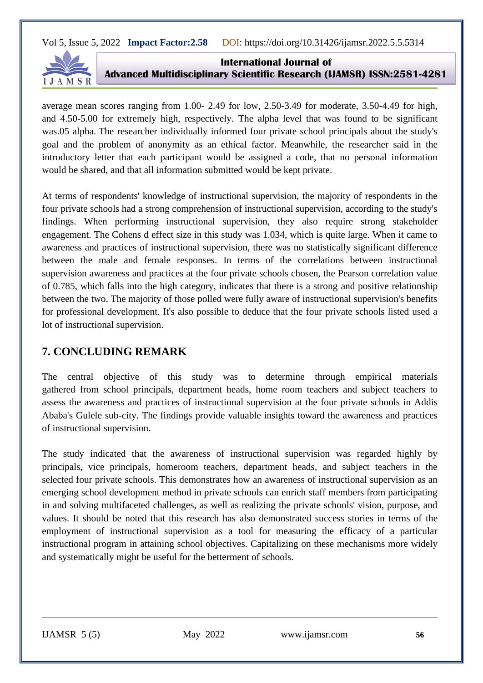

**International Journal of Advanced Multidisciplinary Scientific Research (IJAMSR) ISSN:2581-4281**

average mean scores ranging from 1.00- 2.49 for low, 2.50-3.49 for moderate, 3.50-4.49 for high, and 4.50-5.00 for extremely high, respectively. The alpha level that was found to be significant was.05 alpha. The researcher individually informed four private school principals about the study's goal and the problem of anonymity as an ethical factor. Meanwhile, the researcher said in the introductory letter that each participant would be assigned a code, that no personal information would be shared, and that all information submitted would be kept private.

At terms of respondents' knowledge of instructional supervision, the majority of respondents in the four private schools had a strong comprehension of instructional supervision, according to the study's findings. When performing instructional supervision, they also require strong stakeholder engagement. The Cohens d effect size in this study was 1.034, which is quite large. When it came to awareness and practices of instructional supervision, there was no statistically significant difference between the male and female responses. In terms of the correlations between instructional supervision awareness and practices at the four private schools chosen, the Pearson correlation value of 0.785, which falls into the high category, indicates that there is a strong and positive relationship between the two. The majority of those polled were fully aware of instructional supervision's benefits for professional development. It's also possible to deduce that the four private schools listed used a lot of instructional supervision.

# **7. CONCLUDING REMARK**

The central objective of this study was to determine through empirical materials gathered from school principals, department heads, home room teachers and subject teachers to assess the awareness and practices of instructional supervision at the four private schools in Addis Ababa's Gulele sub-city. The findings provide valuable insights toward the awareness and practices of instructional supervision.

The study indicated that the awareness of instructional supervision was regarded highly by principals, vice principals, homeroom teachers, department heads, and subject teachers in the selected four private schools. This demonstrates how an awareness of instructional supervision as an emerging school development method in private schools can enrich staff members from participating in and solving multifaceted challenges, as well as realizing the private schools' vision, purpose, and values. It should be noted that this research has also demonstrated success stories in terms of the employment of instructional supervision as a tool for measuring the efficacy of a particular instructional program in attaining school objectives. Capitalizing on these mechanisms more widely and systematically might be useful for the betterment of schools.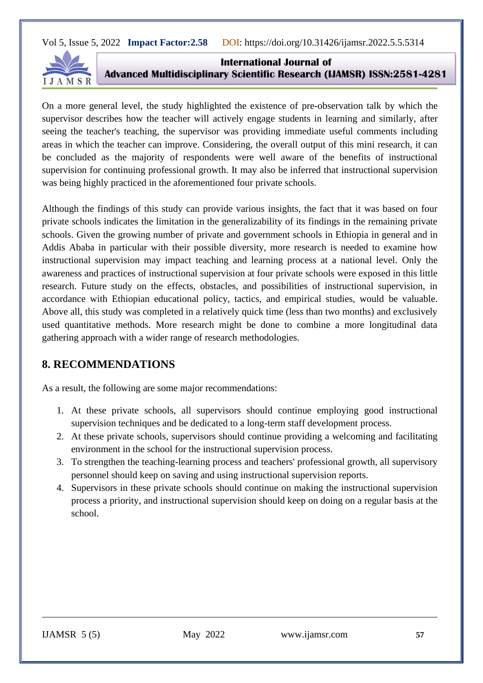

**International Journal of Advanced Multidisciplinary Scientific Research (IJAMSR) ISSN:2581-4281**

On a more general level, the study highlighted the existence of pre-observation talk by which the supervisor describes how the teacher will actively engage students in learning and similarly, after seeing the teacher's teaching, the supervisor was providing immediate useful comments including areas in which the teacher can improve. Considering, the overall output of this mini research, it can be concluded as the majority of respondents were well aware of the benefits of instructional supervision for continuing professional growth. It may also be inferred that instructional supervision was being highly practiced in the aforementioned four private schools.

Although the findings of this study can provide various insights, the fact that it was based on four private schools indicates the limitation in the generalizability of its findings in the remaining private schools. Given the growing number of private and government schools in Ethiopia in general and in Addis Ababa in particular with their possible diversity, more research is needed to examine how instructional supervision may impact teaching and learning process at a national level. Only the awareness and practices of instructional supervision at four private schools were exposed in this little research. Future study on the effects, obstacles, and possibilities of instructional supervision, in accordance with Ethiopian educational policy, tactics, and empirical studies, would be valuable. Above all, this study was completed in a relatively quick time (less than two months) and exclusively used quantitative methods. More research might be done to combine a more longitudinal data gathering approach with a wider range of research methodologies.

# **8. RECOMMENDATIONS**

As a result, the following are some major recommendations:

- 1. At these private schools, all supervisors should continue employing good instructional supervision techniques and be dedicated to a long-term staff development process.
- 2. At these private schools, supervisors should continue providing a welcoming and facilitating environment in the school for the instructional supervision process.
- 3. To strengthen the teaching-learning process and teachers' professional growth, all supervisory personnel should keep on saving and using instructional supervision reports.
- 4. Supervisors in these private schools should continue on making the instructional supervision process a priority, and instructional supervision should keep on doing on a regular basis at the school.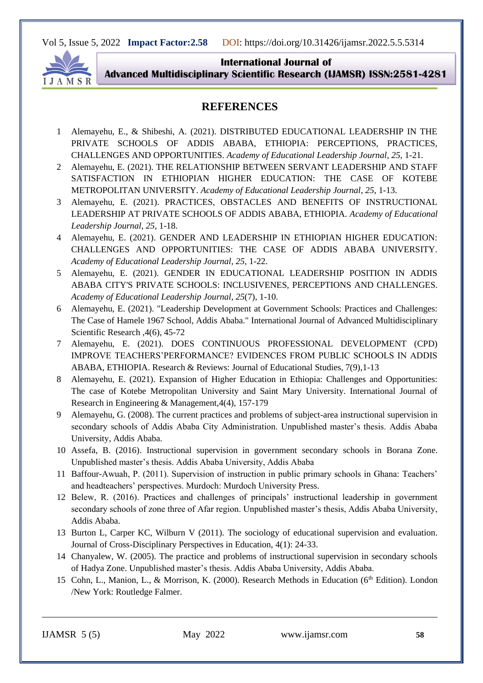

**International Journal of Advanced Multidisciplinary Scientific Research (IJAMSR) ISSN:2581-4281**

# **REFERENCES**

- 1 Alemayehu, E., & Shibeshi, A. (2021). DISTRIBUTED EDUCATIONAL LEADERSHIP IN THE PRIVATE SCHOOLS OF ADDIS ABABA, ETHIOPIA: PERCEPTIONS, PRACTICES, CHALLENGES AND OPPORTUNITIES. *Academy of Educational Leadership Journal*, *25*, 1-21.
- 2 Alemayehu, E. (2021). THE RELATIONSHIP BETWEEN SERVANT LEADERSHIP AND STAFF SATISFACTION IN ETHIOPIAN HIGHER EDUCATION: THE CASE OF KOTEBE METROPOLITAN UNIVERSITY. *Academy of Educational Leadership Journal*, *25*, 1-13.
- 3 Alemayehu, E. (2021). PRACTICES, OBSTACLES AND BENEFITS OF INSTRUCTIONAL LEADERSHIP AT PRIVATE SCHOOLS OF ADDIS ABABA, ETHIOPIA. *Academy of Educational Leadership Journal*, *25*, 1-18.
- 4 Alemayehu, E. (2021). GENDER AND LEADERSHIP IN ETHIOPIAN HIGHER EDUCATION: CHALLENGES AND OPPORTUNITIES: THE CASE OF ADDIS ABABA UNIVERSITY. *Academy of Educational Leadership Journal*, *25*, 1-22.
- 5 Alemayehu, E. (2021). GENDER IN EDUCATIONAL LEADERSHIP POSITION IN ADDIS ABABA CITY'S PRIVATE SCHOOLS: INCLUSIVENES, PERCEPTIONS AND CHALLENGES. *Academy of Educational Leadership Journal*, *25*(7), 1-10.
- 6 Alemayehu, E. (2021). "Leadership Development at Government Schools: Practices and Challenges: The Case of Hamele 1967 School, Addis Ababa." International Journal of Advanced Multidisciplinary Scientific Research ,4(6), 45-72
- 7 Alemayehu, E. (2021). DOES CONTINUOUS PROFESSIONAL DEVELOPMENT (CPD) IMPROVE TEACHERS'PERFORMANCE? EVIDENCES FROM PUBLIC SCHOOLS IN ADDIS ABABA, ETHIOPIA. Research & Reviews: Journal of Educational Studies, 7(9),1-13
- 8 Alemayehu, E. (2021). Expansion of Higher Education in Ethiopia: Challenges and Opportunities: The case of Kotebe Metropolitan University and Saint Mary University. International Journal of Research in Engineering & Management,4(4), 157-179
- 9 Alemayehu, G. (2008). The current practices and problems of subject-area instructional supervision in secondary schools of Addis Ababa City Administration. Unpublished master's thesis. Addis Ababa University, Addis Ababa.
- 10 Assefa, B. (2016). Instructional supervision in government secondary schools in Borana Zone. Unpublished master's thesis. Addis Ababa University, Addis Ababa
- 11 Baffour-Awuah, P. (2011). Supervision of instruction in public primary schools in Ghana: Teachers' and headteachers' perspectives. Murdoch: Murdoch University Press.
- 12 Belew, R. (2016). Practices and challenges of principals' instructional leadership in government secondary schools of zone three of Afar region. Unpublished master's thesis, Addis Ababa University, Addis Ababa.
- 13 Burton L, Carper KC, Wilburn V (2011). The sociology of educational supervision and evaluation. Journal of Cross-Disciplinary Perspectives in Education, 4(1): 24-33.
- 14 Chanyalew, W. (2005). The practice and problems of instructional supervision in secondary schools of Hadya Zone. Unpublished master's thesis. Addis Ababa University, Addis Ababa.
- 15 Cohn, L., Manion, L., & Morrison, K. (2000). Research Methods in Education (6<sup>th</sup> Edition). London /New York: Routledge Falmer.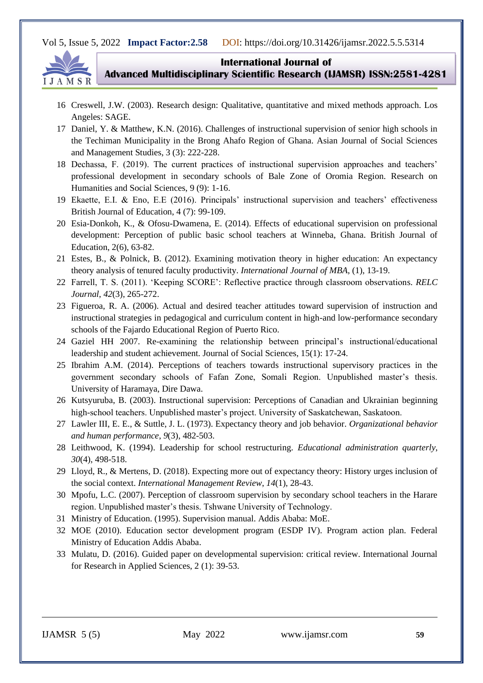

**International Journal of** 

**Advanced Multidisciplinary Scientific Research (IJAMSR) ISSN:2581-4281**

- 16 Creswell, J.W. (2003). Research design: Qualitative, quantitative and mixed methods approach. Los Angeles: SAGE.
- 17 Daniel, Y. & Matthew, K.N. (2016). Challenges of instructional supervision of senior high schools in the Techiman Municipality in the Brong Ahafo Region of Ghana. Asian Journal of Social Sciences and Management Studies, 3 (3): 222-228.
- 18 Dechassa, F. (2019). The current practices of instructional supervision approaches and teachers' professional development in secondary schools of Bale Zone of Oromia Region. Research on Humanities and Social Sciences, 9 (9): 1-16.
- 19 Ekaette, E.I. & Eno, E.E (2016). Principals' instructional supervision and teachers' effectiveness British Journal of Education, 4 (7): 99-109.
- 20 Esia-Donkoh, K., & Ofosu-Dwamena, E. (2014). Effects of educational supervision on professional development: Perception of public basic school teachers at Winneba, Ghana. British Journal of Education, 2(6), 63-82.
- 21 Estes, B., & Polnick, B. (2012). Examining motivation theory in higher education: An expectancy theory analysis of tenured faculty productivity. *International Journal of MBA*, (1), 13-19.
- 22 Farrell, T. S. (2011). 'Keeping SCORE': Reflective practice through classroom observations. *RELC Journal*, *42*(3), 265-272.
- 23 Figueroa, R. A. (2006). Actual and desired teacher attitudes toward supervision of instruction and instructional strategies in pedagogical and curriculum content in high-and low-performance secondary schools of the Fajardo Educational Region of Puerto Rico.
- 24 Gaziel HH 2007. Re-examining the relationship between principal's instructional/educational leadership and student achievement. Journal of Social Sciences, 15(1): 17-24.
- 25 Ibrahim A.M. (2014). Perceptions of teachers towards instructional supervisory practices in the government secondary schools of Fafan Zone, Somali Region. Unpublished master's thesis. University of Haramaya, Dire Dawa.
- 26 Kutsyuruba, B. (2003). Instructional supervision: Perceptions of Canadian and Ukrainian beginning high-school teachers. Unpublished master's project. University of Saskatchewan, Saskatoon.
- 27 Lawler III, E. E., & Suttle, J. L. (1973). Expectancy theory and job behavior. *Organizational behavior and human performance*, *9*(3), 482-503.
- 28 Leithwood, K. (1994). Leadership for school restructuring. *Educational administration quarterly*, *30*(4), 498-518.
- 29 Lloyd, R., & Mertens, D. (2018). Expecting more out of expectancy theory: History urges inclusion of the social context. *International Management Review*, *14*(1), 28-43.
- 30 Mpofu, L.C. (2007). Perception of classroom supervision by secondary school teachers in the Harare region. Unpublished master's thesis. Tshwane University of Technology.
- 31 Ministry of Education. (1995). Supervision manual. Addis Ababa: MoE.
- 32 MOE (2010). Education sector development program (ESDP IV). Program action plan. Federal Ministry of Education Addis Ababa.
- 33 Mulatu, D. (2016). Guided paper on developmental supervision: critical review. International Journal for Research in Applied Sciences, 2 (1): 39-53.